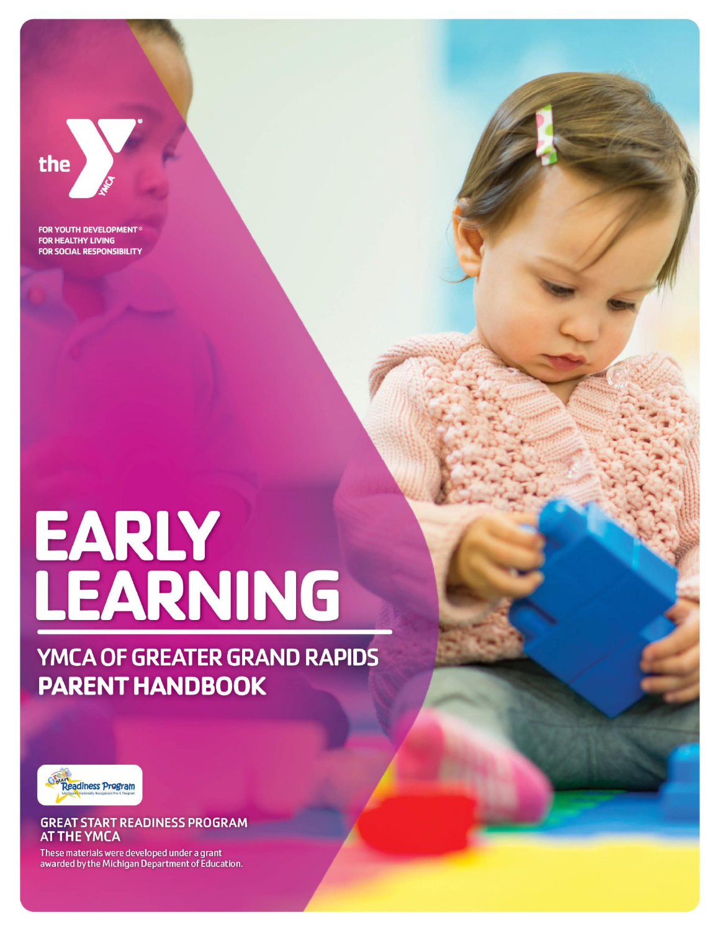

**FOR YOUTH DEVELOPMENT® FOR HEALTHY LIVING FOR SOCIAL RESPONSIBILITY** 

# EARLY<br>LEARNING

## YMCA OF GREATER GRAND RAPIDS **PARENT HANDBOOK**



#### **GREAT START READINESS PROGRAM AT THE YMCA**

These materials were developed under a grant awarded by the Michigan Department of Education.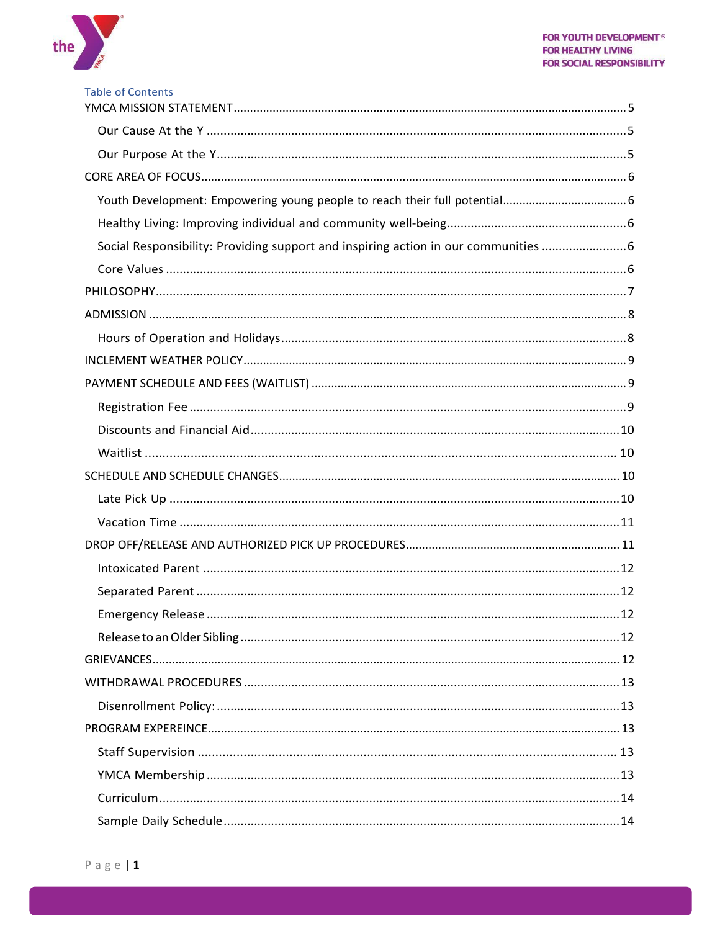

|  |  | <b>Table of Contents</b> |  |
|--|--|--------------------------|--|
|  |  |                          |  |

| Social Responsibility: Providing support and inspiring action in our communities |  |
|----------------------------------------------------------------------------------|--|
|                                                                                  |  |
|                                                                                  |  |
|                                                                                  |  |
|                                                                                  |  |
|                                                                                  |  |
|                                                                                  |  |
|                                                                                  |  |
|                                                                                  |  |
|                                                                                  |  |
|                                                                                  |  |
|                                                                                  |  |
|                                                                                  |  |
|                                                                                  |  |
|                                                                                  |  |
|                                                                                  |  |
|                                                                                  |  |
|                                                                                  |  |
|                                                                                  |  |
|                                                                                  |  |
|                                                                                  |  |
|                                                                                  |  |
|                                                                                  |  |
|                                                                                  |  |
|                                                                                  |  |
|                                                                                  |  |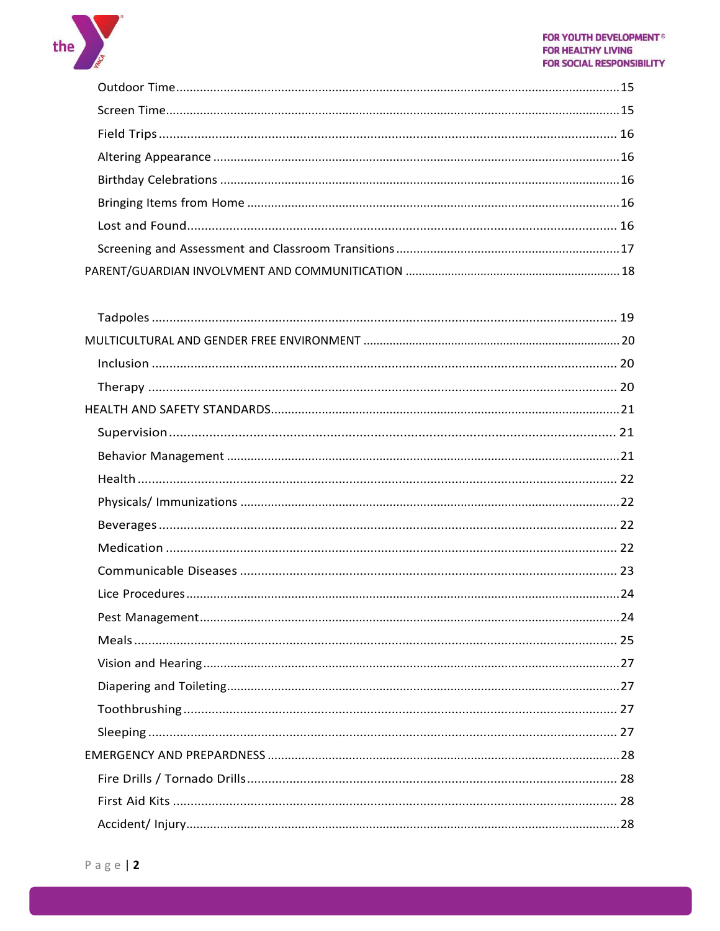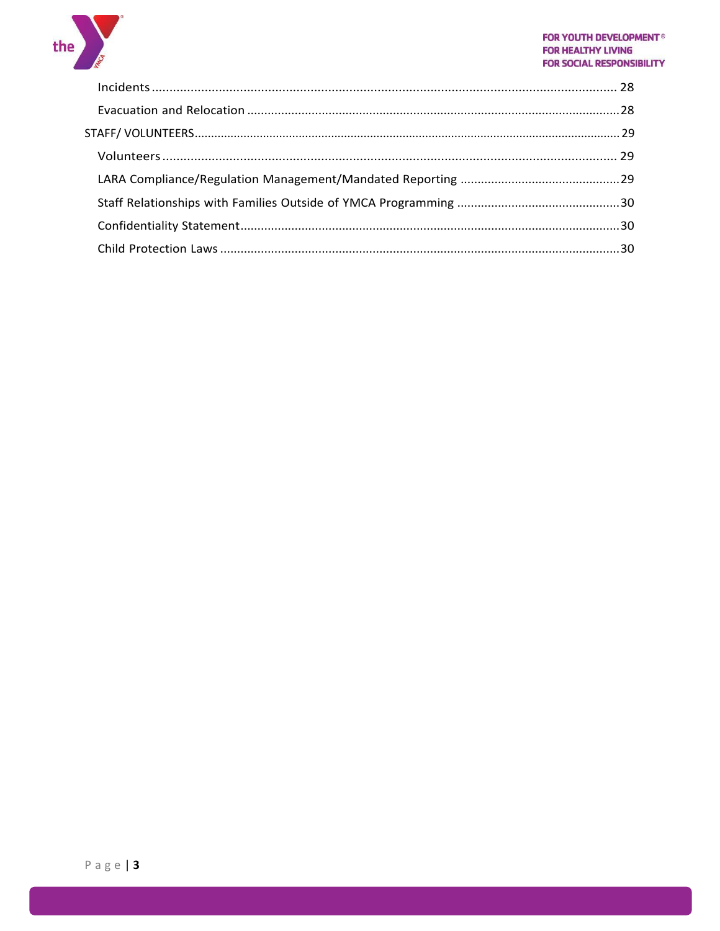

#### **FOR YOUTH DEVELOPMENT<sup>®</sup> FOR HEALTHY LIVING FOR SOCIAL RESPONSIBILITY**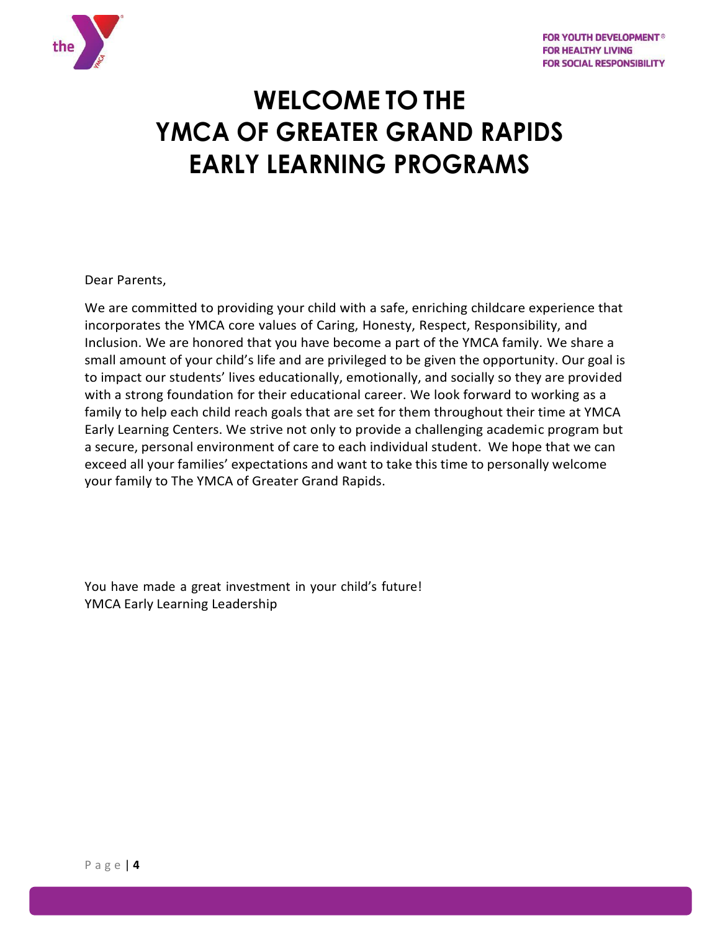

# **WELCOME TO THE YMCA OF GREATER GRAND RAPIDS EARLY LEARNING PROGRAMS**

Dear Parents,

We are committed to providing your child with a safe, enriching childcare experience that incorporates the YMCA core values of Caring, Honesty, Respect, Responsibility, and Inclusion. We are honored that you have become a part of the YMCA family. We share a small amount of your child's life and are privileged to be given the opportunity. Our goal is to impact our students' lives educationally, emotionally, and socially so they are provided with a strong foundation for their educational career. We look forward to working as a family to help each child reach goals that are set for them throughout their time at YMCA Early Learning Centers. We strive not only to provide a challenging academic program but a secure, personal environment of care to each individual student. We hope that we can exceed all your families' expectations and want to take this time to personally welcome your family to The YMCA of Greater Grand Rapids.

You have made a great investment in your child's future! YMCA Early Learning Leadership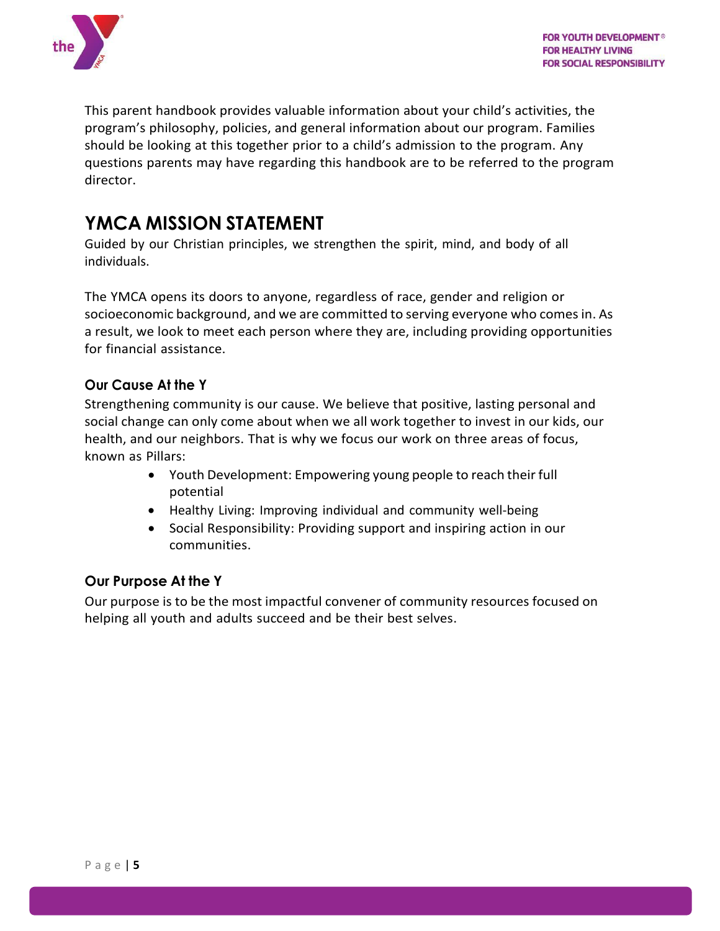

This parent handbook provides valuable information about your child's activities, the program's philosophy, policies, and general information about our program. Families should be looking at this together prior to a child's admission to the program. Any questions parents may have regarding this handbook are to be referred to the program director.

## <span id="page-5-0"></span>**YMCA MISSION STATEMENT**

Guided by our Christian principles, we strengthen the spirit, mind, and body of all individuals.

The YMCA opens its doors to anyone, regardless of race, gender and religion or socioeconomic background, and we are committed to serving everyone who comesin. As a result, we look to meet each person where they are, including providing opportunities for financial assistance.

#### <span id="page-5-1"></span>**Our Cause At the Y**

Strengthening community is our cause. We believe that positive, lasting personal and social change can only come about when we all work together to invest in our kids, our health, and our neighbors. That is why we focus our work on three areas of focus, known as Pillars:

- Youth Development: Empowering young people to reach their full potential
- Healthy Living: Improving individual and community well-being
- Social Responsibility: Providing support and inspiring action in our communities.

#### <span id="page-5-2"></span>**Our Purpose At the Y**

Our purpose is to be the most impactful convener of community resources focused on helping all youth and adults succeed and be their best selves.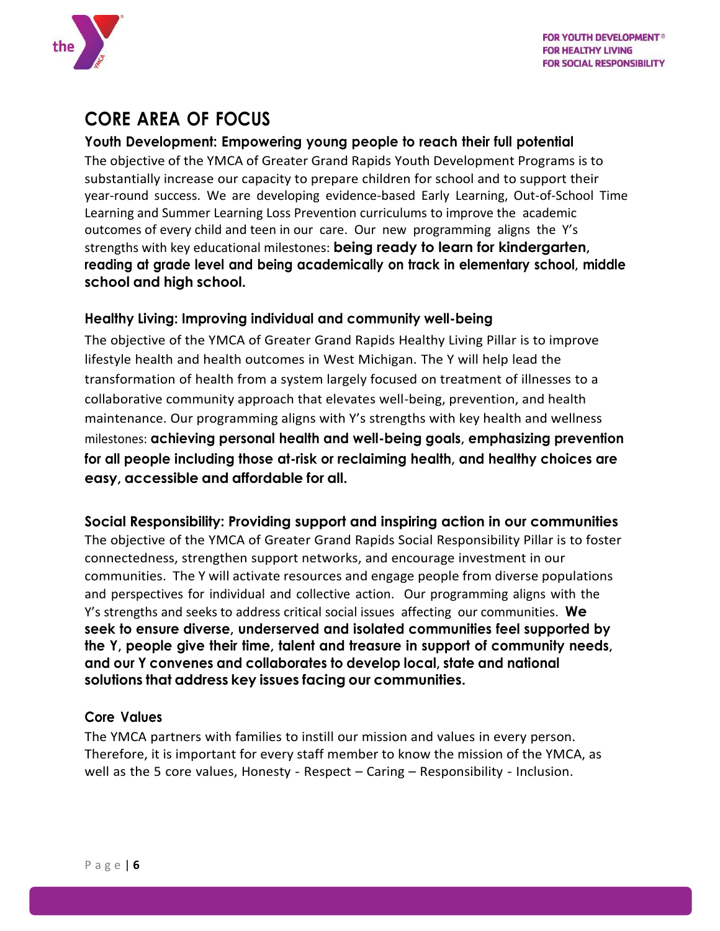

## <span id="page-6-0"></span>**CORE AREA OF FOCUS**

#### <span id="page-6-1"></span>**Youth Development: Empowering young people to reach their full potential**

The objective of the YMCA of Greater Grand Rapids Youth Development Programs is to substantially increase our capacity to prepare children for school and to support their year-round success. We are developing evidence-based Early Learning, Out-of-School Time Learning and Summer Learning Loss Prevention curriculums to improve the academic outcomes of every child and teen in our care. Our new programming aligns the Y's strengths with key educational milestones: **being ready to learn for kindergarten, reading at grade level and being academically on track in elementary school, middle school and high school.**

#### <span id="page-6-2"></span>**Healthy Living: Improving individual and community well-being**

The objective of the YMCA of Greater Grand Rapids Healthy Living Pillar is to improve lifestyle health and health outcomes in West Michigan. The Y will help lead the transformation of health from a system largely focused on treatment of illnesses to a collaborative community approach that elevates well-being, prevention, and health maintenance. Our programming aligns with Y's strengths with key health and wellness milestones: **achieving personal health and well-being goals, emphasizing prevention for all people including those at-risk or reclaiming health, and healthy choices are easy, accessible and affordable for all.**

<span id="page-6-3"></span>**Social Responsibility: Providing support and inspiring action in our communities** The objective of the YMCA of Greater Grand Rapids Social Responsibility Pillar is to foster connectedness, strengthen support networks, and encourage investment in our communities. The Y will activate resources and engage people from diverse populations and perspectives for individual and collective action. Our programming aligns with the Y's strengths and seeks to address critical social issues affecting our communities. **We seek to ensure diverse, underserved and isolated communities feel supported by the Y, people give their time, talent and treasure in support of community needs, and our Y convenes and collaborates to develop local, state and national solutions that address key issues facing our communities.**

#### <span id="page-6-4"></span>**Core Values**

The YMCA partners with families to instill our mission and values in every person. Therefore, it is important for every staff member to know the mission of the YMCA, as well as the 5 core values, Honesty - Respect – Caring – Responsibility - Inclusion.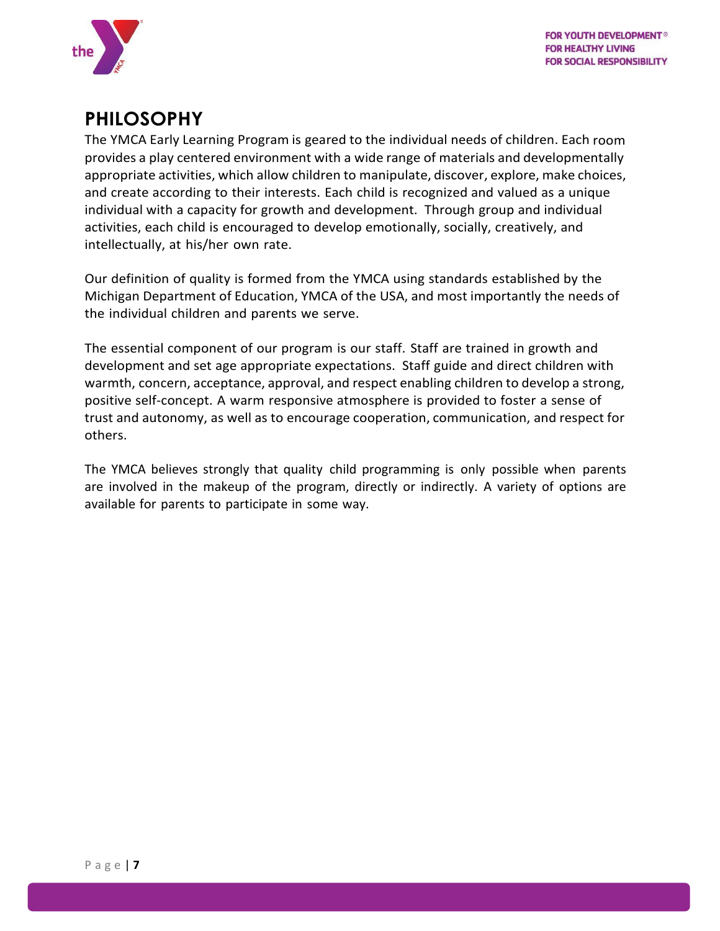

## <span id="page-7-0"></span>**PHILOSOPHY**

The YMCA Early Learning Program is geared to the individual needs of children. Each room provides a play centered environment with a wide range of materials and developmentally appropriate activities, which allow children to manipulate, discover, explore, make choices, and create according to their interests. Each child is recognized and valued as a unique individual with a capacity for growth and development. Through group and individual activities, each child is encouraged to develop emotionally, socially, creatively, and intellectually, at his/her own rate.

Our definition of quality is formed from the YMCA using standards established by the Michigan Department of Education, YMCA of the USA, and most importantly the needs of the individual children and parents we serve.

The essential component of our program is our staff. Staff are trained in growth and development and set age appropriate expectations. Staff guide and direct children with warmth, concern, acceptance, approval, and respect enabling children to develop a strong, positive self-concept. A warm responsive atmosphere is provided to foster a sense of trust and autonomy, as well as to encourage cooperation, communication, and respect for others.

The YMCA believes strongly that quality child programming is only possible when parents are involved in the makeup of the program, directly or indirectly. A variety of options are available for parents to participate in some way.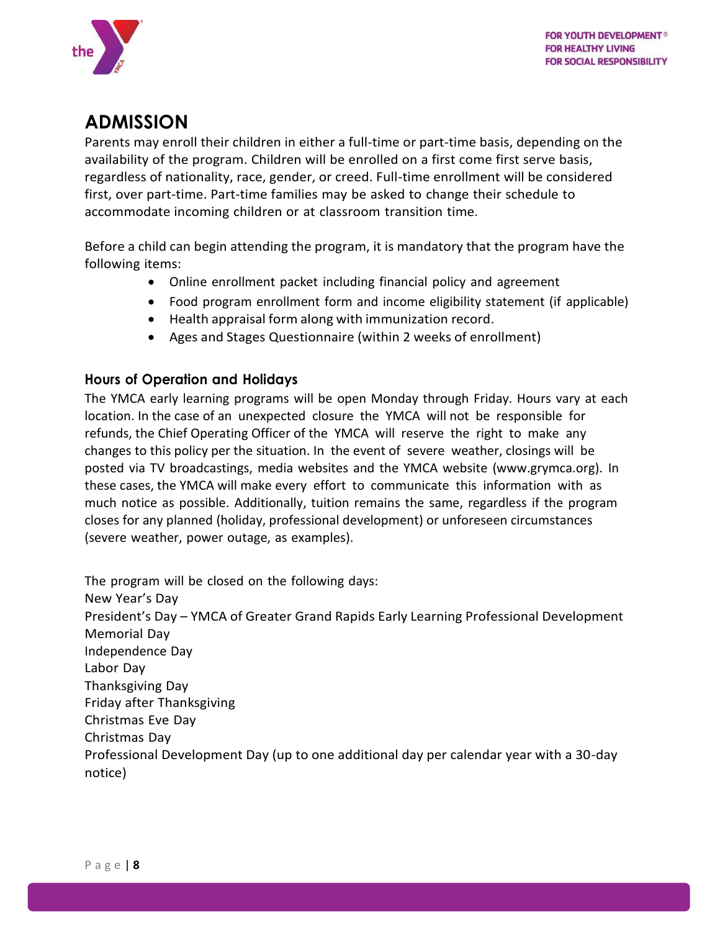

## <span id="page-8-0"></span>**ADMISSION**

Parents may enroll their children in either a full-time or part-time basis, depending on the availability of the program. Children will be enrolled on a first come first serve basis, regardless of nationality, race, gender, or creed. Full-time enrollment will be considered first, over part-time. Part-time families may be asked to change their schedule to accommodate incoming children or at classroom transition time.

Before a child can begin attending the program, it is mandatory that the program have the following items:

- Online enrollment packet including financial policy and agreement
- Food program enrollment form and income eligibility statement (if applicable)
- Health appraisal form along with immunization record.
- Ages and Stages Questionnaire (within 2 weeks of enrollment)

#### <span id="page-8-1"></span>**Hours of Operation and Holidays**

The YMCA early learning programs will be open Monday through Friday. Hours vary at each location. In the case of an unexpected closure the YMCA will not be responsible for refunds, the Chief Operating Officer of the YMCA will reserve the right to make any changes to this policy per the situation. In the event of severe weather, closings will be posted via TV broadcastings, media websites and the YMCA website (www.grymca.org). In these cases, the YMCA will make every effort to communicate this information with as much notice as possible. Additionally, tuition remains the same, regardless if the program closes for any planned (holiday, professional development) or unforeseen circumstances (severe weather, power outage, as examples).

The program will be closed on the following days: New Year's Day President's Day – YMCA of Greater Grand Rapids Early Learning Professional Development Memorial Day Independence Day Labor Day Thanksgiving Day Friday after Thanksgiving Christmas Eve Day Christmas Day Professional Development Day (up to one additional day per calendar year with a 30-day notice)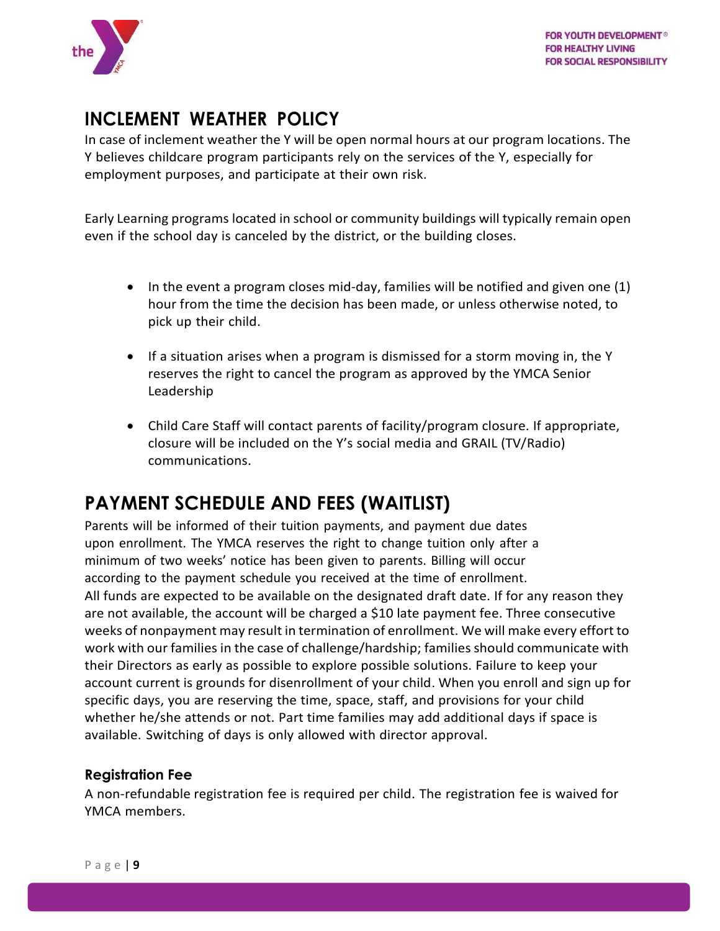

## <span id="page-9-0"></span>**INCLEMENT WEATHER POLICY**

In case of inclement weather the Y will be open normal hours at our program locations. The Y believes childcare program participants rely on the services of the Y, especially for employment purposes, and participate at their own risk.

Early Learning programs located in school or community buildings will typically remain open even if the school day is canceled by the district, or the building closes.

- In the event a program closes mid-day, families will be notified and given one (1) hour from the time the decision has been made, or unless otherwise noted, to pick up their child.
- If a situation arises when a program is dismissed for a storm moving in, the Y reserves the right to cancel the program as approved by the YMCA Senior Leadership
- Child Care Staff will contact parents of facility/program closure. If appropriate, closure will be included on the Y's social media and GRAIL (TV/Radio) communications.

## <span id="page-9-1"></span>**PAYMENT SCHEDULE AND FEES (WAITLIST)**

Parents will be informed of their tuition payments, and payment due dates upon enrollment. The YMCA reserves the right to change tuition only after a minimum of two weeks' notice has been given to parents. Billing will occur according to the payment schedule you received at the time of enrollment. All funds are expected to be available on the designated draft date. If for any reason they are not available, the account will be charged a \$10 late payment fee. Three consecutive weeks of nonpayment may result in termination of enrollment. We will make every effort to work with our families in the case of challenge/hardship; families should communicate with their Directors as early as possible to explore possible solutions. Failure to keep your account current is grounds for disenrollment of your child. When you enroll and sign up for specific days, you are reserving the time, space, staff, and provisions for your child whether he/she attends or not. Part time families may add additional days if space is available. Switching of days is only allowed with director approval.

#### <span id="page-9-2"></span>**Registration Fee**

A non-refundable registration fee is required per child. The registration fee is waived for YMCA members.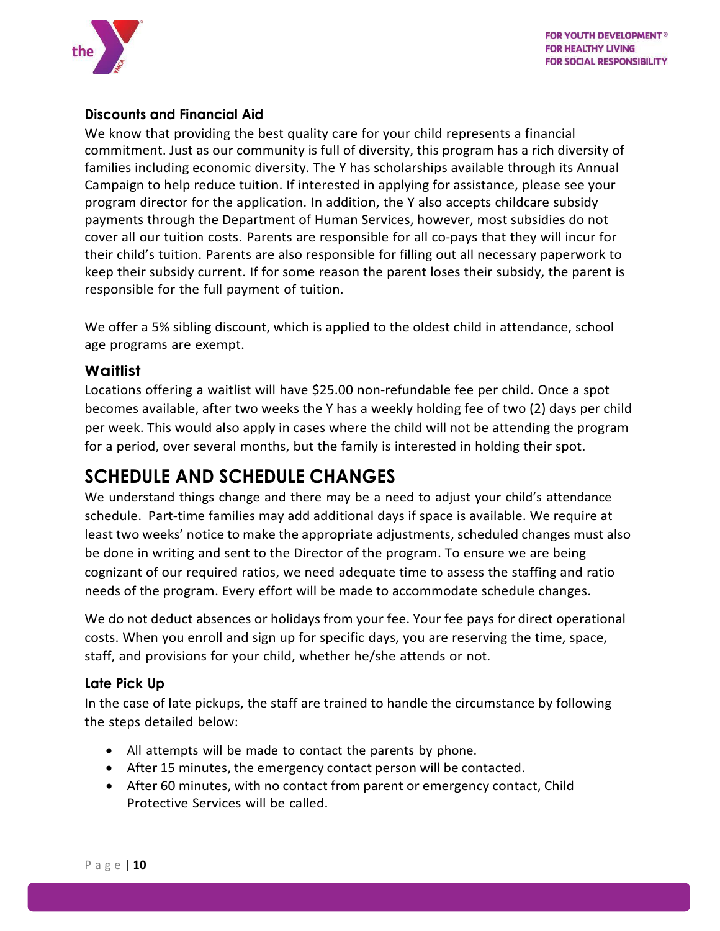

#### <span id="page-10-0"></span>**Discounts and Financial Aid**

We know that providing the best quality care for your child represents a financial commitment. Just as our community is full of diversity, this program has a rich diversity of families including economic diversity. The Y has scholarships available through its Annual Campaign to help reduce tuition. If interested in applying for assistance, please see your program director for the application. In addition, the Y also accepts childcare subsidy payments through the Department of Human Services, however, most subsidies do not cover all our tuition costs. Parents are responsible for all co-pays that they will incur for their child's tuition. Parents are also responsible for filling out all necessary paperwork to keep their subsidy current. If for some reason the parent loses their subsidy, the parent is responsible for the full payment of tuition.

We offer a 5% sibling discount, which is applied to the oldest child in attendance, school age programs are exempt.

#### <span id="page-10-1"></span>**Waitlist**

Locations offering a waitlist will have \$25.00 non-refundable fee per child. Once a spot becomes available, after two weeks the Y has a weekly holding fee of two (2) days per child per week. This would also apply in cases where the child will not be attending the program for a period, over several months, but the family is interested in holding their spot.

## <span id="page-10-2"></span>**SCHEDULE AND SCHEDULE CHANGES**

We understand things change and there may be a need to adjust your child's attendance schedule. Part-time families may add additional days if space is available. We require at least two weeks' notice to make the appropriate adjustments, scheduled changes must also be done in writing and sent to the Director of the program. To ensure we are being cognizant of our required ratios, we need adequate time to assess the staffing and ratio needs of the program. Every effort will be made to accommodate schedule changes.

We do not deduct absences or holidays from your fee. Your fee pays for direct operational costs. When you enroll and sign up for specific days, you are reserving the time, space, staff, and provisions for your child, whether he/she attends or not.

#### <span id="page-10-3"></span>**Late Pick Up**

In the case of late pickups, the staff are trained to handle the circumstance by following the steps detailed below:

- All attempts will be made to contact the parents by phone.
- After 15 minutes, the emergency contact person will be contacted.
- After 60 minutes, with no contact from parent or emergency contact, Child Protective Services will be called.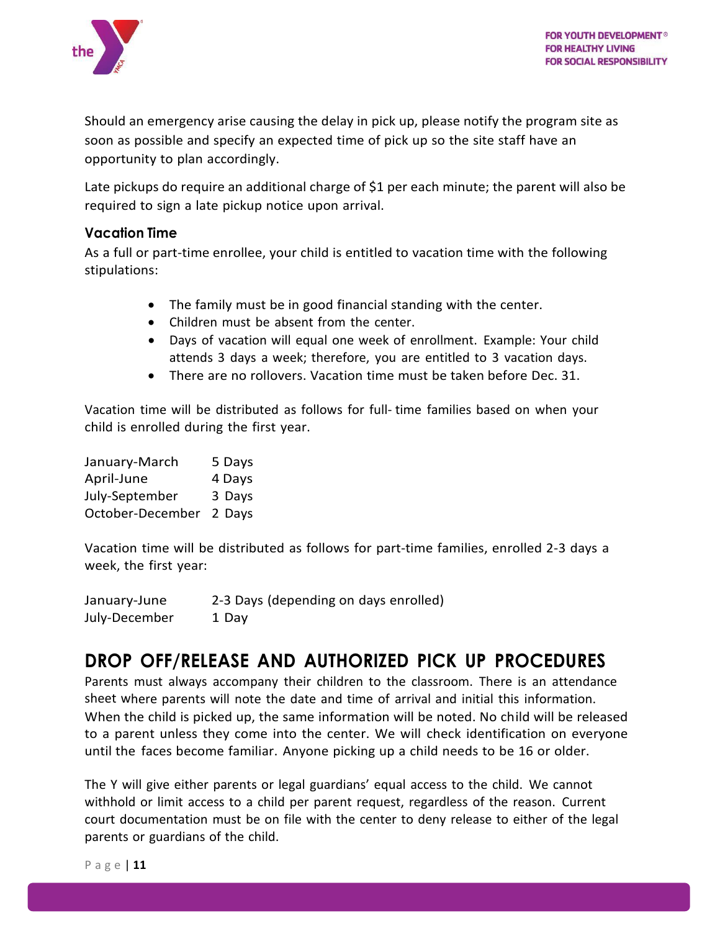

Should an emergency arise causing the delay in pick up, please notify the program site as soon as possible and specify an expected time of pick up so the site staff have an opportunity to plan accordingly.

Late pickups do require an additional charge of \$1 per each minute; the parent will also be required to sign a late pickup notice upon arrival.

#### <span id="page-11-0"></span>**Vacation Time**

As a full or part-time enrollee, your child is entitled to vacation time with the following stipulations:

- The family must be in good financial standing with the center.
- Children must be absent from the center.
- Days of vacation will equal one week of enrollment. Example: Your child attends 3 days a week; therefore, you are entitled to 3 vacation days.
- There are no rollovers. Vacation time must be taken before Dec. 31.

Vacation time will be distributed as follows for full- time families based on when your child is enrolled during the first year.

| January-March    | 5 Days |
|------------------|--------|
| April-June       | 4 Days |
| July-September   | 3 Days |
| October-December | 2 Days |

Vacation time will be distributed as follows for part-time families, enrolled 2-3 days a week, the first year:

January-June 2-3 Days (depending on days enrolled) July-December 1 Day

## <span id="page-11-1"></span>**DROP OFF/RELEASE AND AUTHORIZED PICK UP PROCEDURES**

Parents must always accompany their children to the classroom. There is an attendance sheet where parents will note the date and time of arrival and initial this information. When the child is picked up, the same information will be noted. No child will be released to a parent unless they come into the center. We will check identification on everyone until the faces become familiar. Anyone picking up a child needs to be 16 or older.

The Y will give either parents or legal guardians' equal access to the child. We cannot withhold or limit access to a child per parent request, regardless of the reason. Current court documentation must be on file with the center to deny release to either of the legal parents or guardians of the child.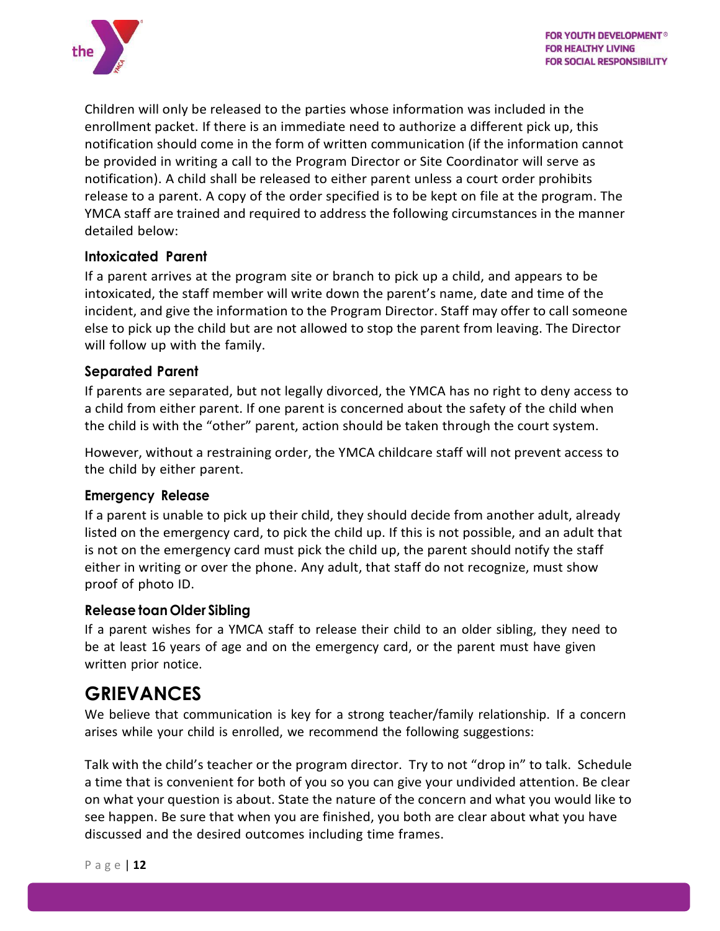

Children will only be released to the parties whose information was included in the enrollment packet. If there is an immediate need to authorize a different pick up, this notification should come in the form of written communication (if the information cannot be provided in writing a call to the Program Director or Site Coordinator will serve as notification). A child shall be released to either parent unless a court order prohibits release to a parent. A copy of the order specified is to be kept on file at the program. The YMCA staff are trained and required to address the following circumstances in the manner detailed below:

#### <span id="page-12-0"></span>**Intoxicated Parent**

If a parent arrives at the program site or branch to pick up a child, and appears to be intoxicated, the staff member will write down the parent's name, date and time of the incident, and give the information to the Program Director. Staff may offer to call someone else to pick up the child but are not allowed to stop the parent from leaving. The Director will follow up with the family.

#### <span id="page-12-1"></span>**Separated Parent**

If parents are separated, but not legally divorced, the YMCA has no right to deny access to a child from either parent. If one parent is concerned about the safety of the child when the child is with the "other" parent, action should be taken through the court system.

However, without a restraining order, the YMCA childcare staff will not prevent access to the child by either parent.

#### <span id="page-12-2"></span>**Emergency Release**

If a parent is unable to pick up their child, they should decide from another adult, already listed on the emergency card, to pick the child up. If this is not possible, and an adult that is not on the emergency card must pick the child up, the parent should notify the staff either in writing or over the phone. Any adult, that staff do not recognize, must show proof of photo ID.

#### <span id="page-12-3"></span>**Release toan Older Sibling**

If a parent wishes for a YMCA staff to release their child to an older sibling, they need to be at least 16 years of age and on the emergency card, or the parent must have given written prior notice.

### <span id="page-12-4"></span>**GRIEVANCES**

We believe that communication is key for a strong teacher/family relationship. If a concern arises while your child is enrolled, we recommend the following suggestions:

Talk with the child's teacher or the program director. Try to not "drop in" to talk. Schedule a time that is convenient for both of you so you can give your undivided attention. Be clear on what your question is about. State the nature of the concern and what you would like to see happen. Be sure that when you are finished, you both are clear about what you have discussed and the desired outcomes including time frames.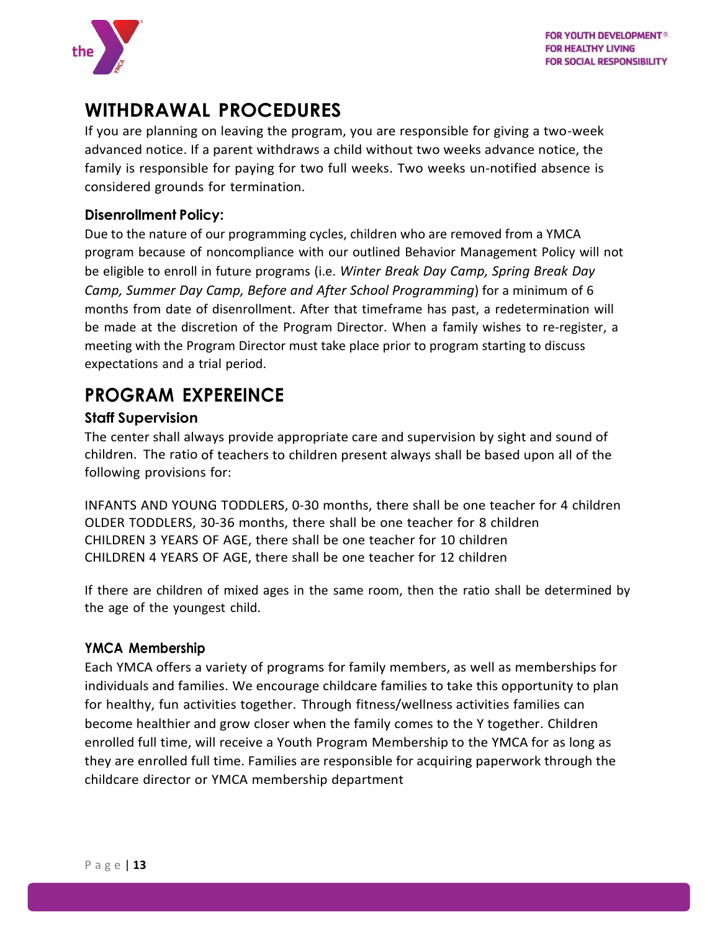

## <span id="page-13-0"></span>**WITHDRAWAL PROCEDURES**

If you are planning on leaving the program, you are responsible for giving a two-week advanced notice. If a parent withdraws a child without two weeks advance notice, the family is responsible for paying for two full weeks. Two weeks un-notified absence is considered grounds for termination.

#### <span id="page-13-1"></span>**Disenrollment Policy:**

Due to the nature of our programming cycles, children who are removed from a YMCA program because of noncompliance with our outlined Behavior Management Policy will not be eligible to enroll in future programs (i.e. *Winter Break Day Camp, Spring Break Day Camp, Summer Day Camp, Before and After School Programming*) for a minimum of 6 months from date of disenrollment. After that timeframe has past, a redetermination will be made at the discretion of the Program Director. When a family wishes to re-register, a meeting with the Program Director must take place prior to program starting to discuss expectations and a trial period.

## <span id="page-13-2"></span>**PROGRAM EXPEREINCE**

#### <span id="page-13-3"></span>**Staff Supervision**

The center shall always provide appropriate care and supervision by sight and sound of children. The ratio of teachers to children present always shall be based upon all of the following provisions for:

INFANTS AND YOUNG TODDLERS, 0-30 months, there shall be one teacher for 4 children OLDER TODDLERS, 30-36 months, there shall be one teacher for 8 children CHILDREN 3 YEARS OF AGE, there shall be one teacher for 10 children CHILDREN 4 YEARS OF AGE, there shall be one teacher for 12 children

If there are children of mixed ages in the same room, then the ratio shall be determined by the age of the youngest child.

#### <span id="page-13-4"></span>**YMCA Membership**

Each YMCA offers a variety of programs for family members, as well as memberships for individuals and families. We encourage childcare families to take this opportunity to plan for healthy, fun activities together. Through fitness/wellness activities families can become healthier and grow closer when the family comes to the Y together. Children enrolled full time, will receive a Youth Program Membership to the YMCA for as long as they are enrolled full time. Families are responsible for acquiring paperwork through the childcare director or YMCA membership department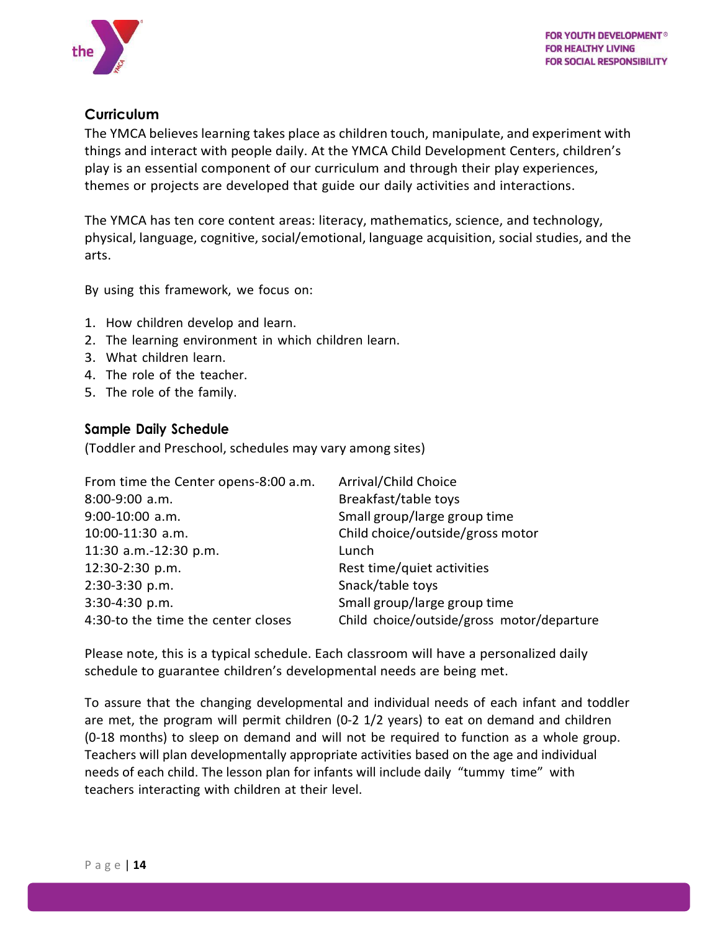

#### <span id="page-14-0"></span>**Curriculum**

The YMCA believes learning takes place as children touch, manipulate, and experiment with things and interact with people daily. At the YMCA Child Development Centers, children's play is an essential component of our curriculum and through their play experiences, themes or projects are developed that guide our daily activities and interactions.

The YMCA has ten core content areas: literacy, mathematics, science, and technology, physical, language, cognitive, social/emotional, language acquisition, social studies, and the arts.

By using this framework, we focus on:

- 1. How children develop and learn.
- 2. The learning environment in which children learn.
- 3. What children learn.
- 4. The role of the teacher.
- 5. The role of the family.

#### <span id="page-14-1"></span>**Sample Daily Schedule**

(Toddler and Preschool, schedules may vary among sites)

| From time the Center opens-8:00 a.m. | Arrival/Child Choice                       |
|--------------------------------------|--------------------------------------------|
| 8:00-9:00 a.m.                       | Breakfast/table toys                       |
| 9:00-10:00 a.m.                      | Small group/large group time               |
| 10:00-11:30 a.m.                     | Child choice/outside/gross motor           |
| 11:30 a.m.-12:30 p.m.                | Lunch                                      |
| 12:30-2:30 p.m.                      | Rest time/quiet activities                 |
| 2:30-3:30 p.m.                       | Snack/table toys                           |
| 3:30-4:30 p.m.                       | Small group/large group time               |
| 4:30-to the time the center closes   | Child choice/outside/gross motor/departure |

Please note, this is a typical schedule. Each classroom will have a personalized daily schedule to guarantee children's developmental needs are being met.

To assure that the changing developmental and individual needs of each infant and toddler are met, the program will permit children (0-2 1/2 years) to eat on demand and children (0-18 months) to sleep on demand and will not be required to function as a whole group. Teachers will plan developmentally appropriate activities based on the age and individual needs of each child. The lesson plan for infants will include daily "tummy time" with teachers interacting with children at their level.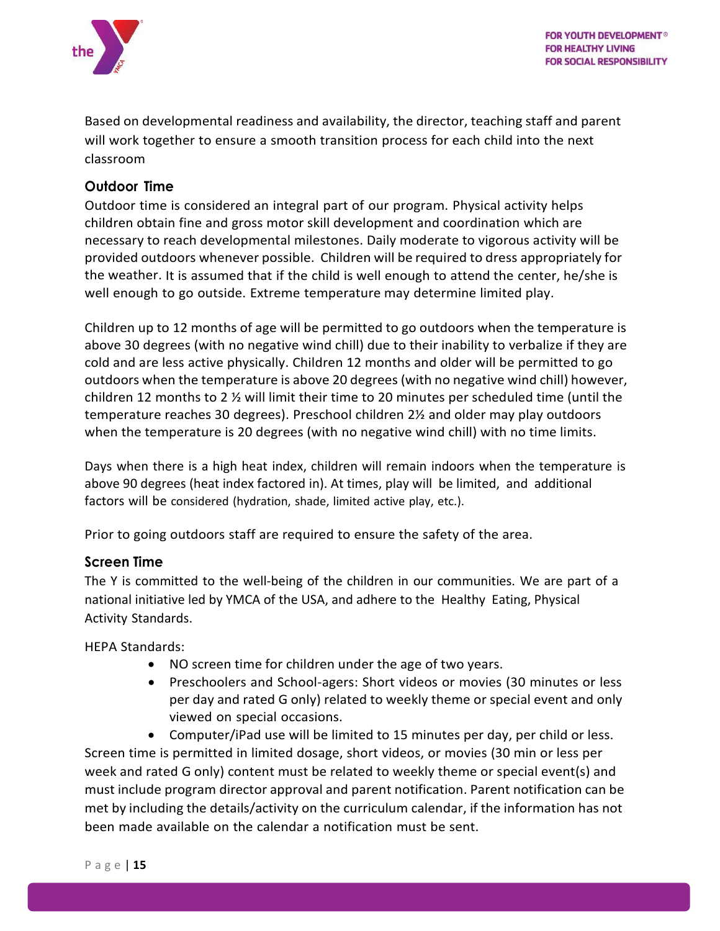

Based on developmental readiness and availability, the director, teaching staff and parent will work together to ensure a smooth transition process for each child into the next classroom

#### <span id="page-15-0"></span>**Outdoor Time**

Outdoor time is considered an integral part of our program. Physical activity helps children obtain fine and gross motor skill development and coordination which are necessary to reach developmental milestones. Daily moderate to vigorous activity will be provided outdoors whenever possible. Children will be required to dress appropriately for the weather. It is assumed that if the child is well enough to attend the center, he/she is well enough to go outside. Extreme temperature may determine limited play.

Children up to 12 months of age will be permitted to go outdoors when the temperature is above 30 degrees (with no negative wind chill) due to their inability to verbalize if they are cold and are less active physically. Children 12 months and older will be permitted to go outdoors when the temperature is above 20 degrees (with no negative wind chill) however, children 12 months to 2 ½ will limit their time to 20 minutes per scheduled time (until the temperature reaches 30 degrees). Preschool children 2½ and older may play outdoors when the temperature is 20 degrees (with no negative wind chill) with no time limits.

Days when there is a high heat index, children will remain indoors when the temperature is above 90 degrees (heat index factored in). At times, play will be limited, and additional factors will be considered (hydration, shade, limited active play, etc.).

Prior to going outdoors staff are required to ensure the safety of the area.

#### <span id="page-15-1"></span>**Screen Time**

The Y is committed to the well-being of the children in our communities. We are part of a national initiative led by YMCA of the USA, and adhere to the Healthy Eating, Physical Activity Standards.

HEPA Standards:

- NO screen time for children under the age of two years.
- Preschoolers and School-agers: Short videos or movies (30 minutes or less per day and rated G only) related to weekly theme or special event and only viewed on special occasions.

• Computer/iPad use will be limited to 15 minutes per day, per child or less. Screen time is permitted in limited dosage, short videos, or movies (30 min or less per week and rated G only) content must be related to weekly theme or special event(s) and must include program director approval and parent notification. Parent notification can be met by including the details/activity on the curriculum calendar, if the information has not been made available on the calendar a notification must be sent.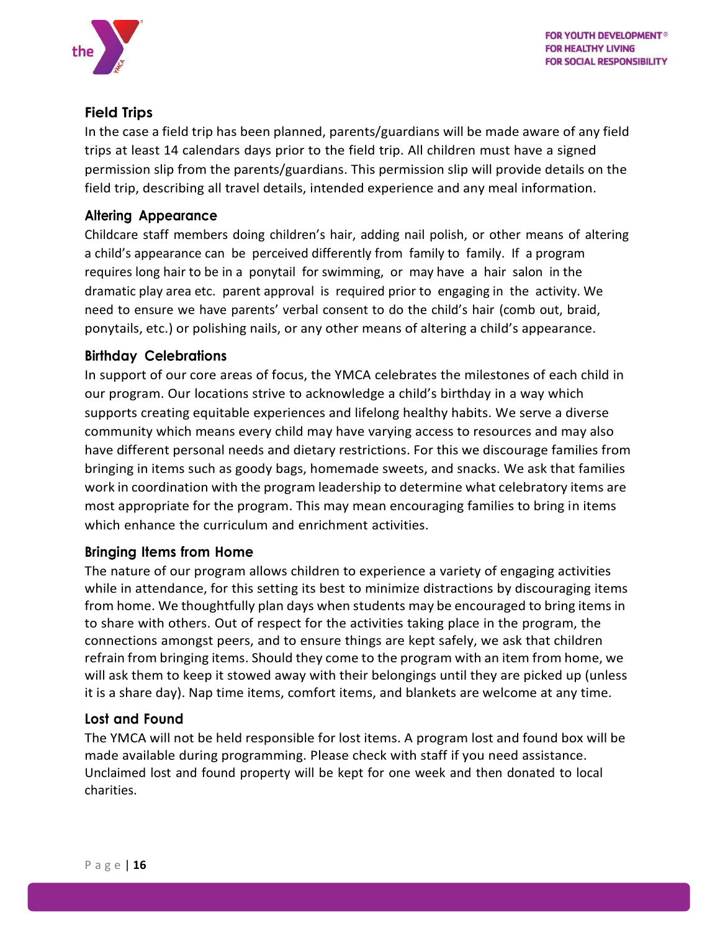

#### <span id="page-16-0"></span>**Field Trips**

In the case a field trip has been planned, parents/guardians will be made aware of any field trips at least 14 calendars days prior to the field trip. All children must have a signed permission slip from the parents/guardians. This permission slip will provide details on the field trip, describing all travel details, intended experience and any meal information.

#### <span id="page-16-1"></span>**Altering Appearance**

Childcare staff members doing children's hair, adding nail polish, or other means of altering a child's appearance can be perceived differently from family to family. If a program requires long hair to be in a ponytail for swimming, or may have a hair salon in the dramatic play area etc. parent approval is required prior to engaging in the activity. We need to ensure we have parents' verbal consent to do the child's hair (comb out, braid, ponytails, etc.) or polishing nails, or any other means of altering a child's appearance.

#### <span id="page-16-2"></span>**Birthday Celebrations**

In support of our core areas of focus, the YMCA celebrates the milestones of each child in our program. Our locations strive to acknowledge a child's birthday in a way which supports creating equitable experiences and lifelong healthy habits. We serve a diverse community which means every child may have varying access to resources and may also have different personal needs and dietary restrictions. For this we discourage families from bringing in items such as goody bags, homemade sweets, and snacks. We ask that families work in coordination with the program leadership to determine what celebratory items are most appropriate for the program. This may mean encouraging families to bring in items which enhance the curriculum and enrichment activities.

#### <span id="page-16-3"></span>**Bringing Items from Home**

The nature of our program allows children to experience a variety of engaging activities while in attendance, for this setting its best to minimize distractions by discouraging items from home. We thoughtfully plan days when students may be encouraged to bring items in to share with others. Out of respect for the activities taking place in the program, the connections amongst peers, and to ensure things are kept safely, we ask that children refrain from bringing items. Should they come to the program with an item from home, we will ask them to keep it stowed away with their belongings until they are picked up (unless it is a share day). Nap time items, comfort items, and blankets are welcome at any time.

#### <span id="page-16-4"></span>**Lost and Found**

The YMCA will not be held responsible for lost items. A program lost and found box will be made available during programming. Please check with staff if you need assistance. Unclaimed lost and found property will be kept for one week and then donated to local charities.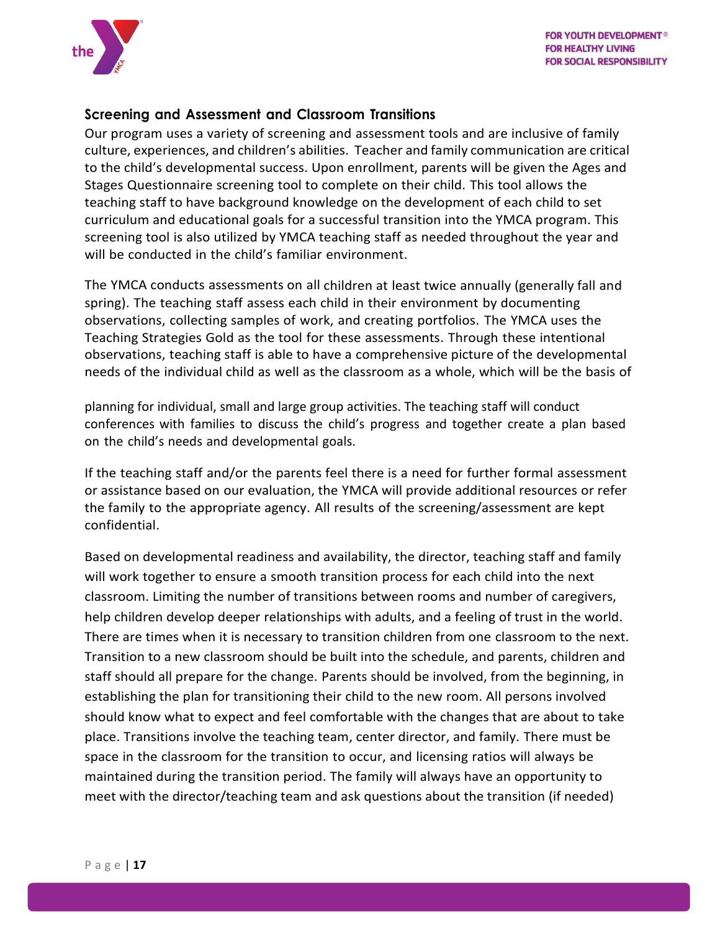

#### <span id="page-17-0"></span>**Screening and Assessment and Classroom Transitions**

Our program uses a variety of screening and assessment tools and are inclusive of family culture, experiences, and children's abilities. Teacher and family communication are critical to the child's developmental success. Upon enrollment, parents will be given the Ages and Stages Questionnaire screening tool to complete on their child. This tool allows the teaching staff to have background knowledge on the development of each child to set curriculum and educational goals for a successful transition into the YMCA program. This screening tool is also utilized by YMCA teaching staff as needed throughout the year and will be conducted in the child's familiar environment.

The YMCA conducts assessments on all children at least twice annually (generally fall and spring). The teaching staff assess each child in their environment by documenting observations, collecting samples of work, and creating portfolios. The YMCA uses the Teaching Strategies Gold as the tool for these assessments. Through these intentional observations, teaching staff is able to have a comprehensive picture of the developmental needs of the individual child as well as the classroom as a whole, which will be the basis of

planning for individual, small and large group activities. The teaching staff will conduct conferences with families to discuss the child's progress and together create a plan based on the child's needs and developmental goals.

If the teaching staff and/or the parents feel there is a need for further formal assessment or assistance based on our evaluation, the YMCA will provide additional resources or refer the family to the appropriate agency. All results of the screening/assessment are kept confidential.

Based on developmental readiness and availability, the director, teaching staff and family will work together to ensure a smooth transition process for each child into the next classroom. Limiting the number of transitions between rooms and number of caregivers, help children develop deeper relationships with adults, and a feeling of trust in the world. There are times when it is necessary to transition children from one classroom to the next. Transition to a new classroom should be built into the schedule, and parents, children and staff should all prepare for the change. Parents should be involved, from the beginning, in establishing the plan for transitioning their child to the new room. All persons involved should know what to expect and feel comfortable with the changes that are about to take place. Transitions involve the teaching team, center director, and family. There must be space in the classroom for the transition to occur, and licensing ratios will always be maintained during the transition period. The family will always have an opportunity to meet with the director/teaching team and ask questions about the transition (if needed)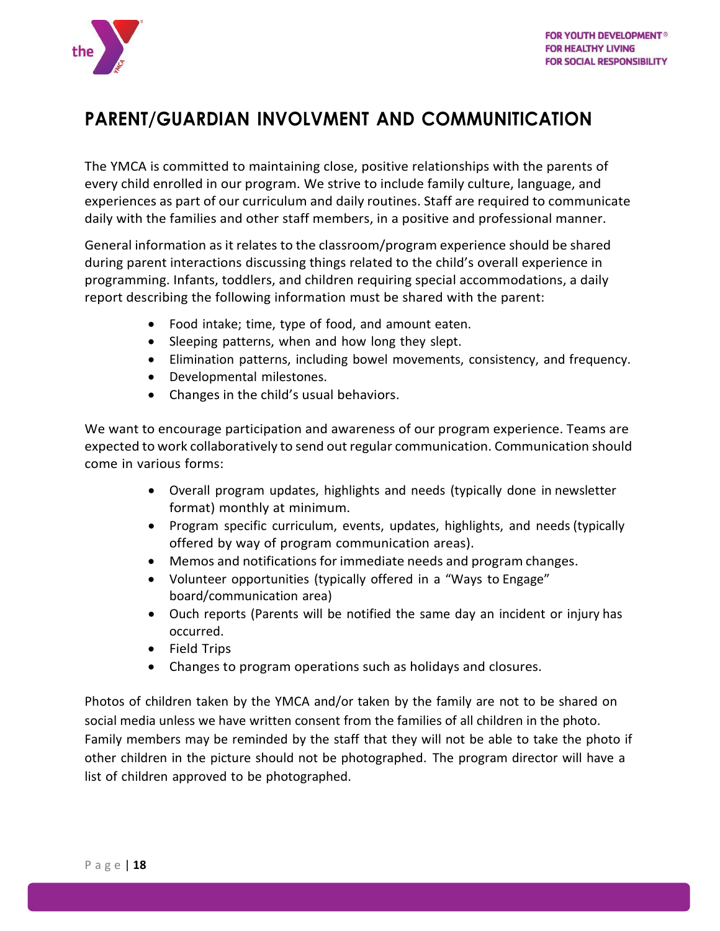

## <span id="page-18-0"></span>**PARENT/GUARDIAN INVOLVMENT AND COMMUNITICATION**

The YMCA is committed to maintaining close, positive relationships with the parents of every child enrolled in our program. We strive to include family culture, language, and experiences as part of our curriculum and daily routines. Staff are required to communicate daily with the families and other staff members, in a positive and professional manner.

General information as it relates to the classroom/program experience should be shared during parent interactions discussing things related to the child's overall experience in programming. Infants, toddlers, and children requiring special accommodations, a daily report describing the following information must be shared with the parent:

- Food intake; time, type of food, and amount eaten.
- Sleeping patterns, when and how long they slept.
- Elimination patterns, including bowel movements, consistency, and frequency.
- Developmental milestones.
- Changes in the child's usual behaviors.

We want to encourage participation and awareness of our program experience. Teams are expected to work collaboratively to send out regular communication. Communication should come in various forms:

- Overall program updates, highlights and needs (typically done in newsletter format) monthly at minimum.
- Program specific curriculum, events, updates, highlights, and needs (typically offered by way of program communication areas).
- Memos and notifications for immediate needs and program changes.
- Volunteer opportunities (typically offered in a "Ways to Engage" board/communication area)
- Ouch reports (Parents will be notified the same day an incident or injury has occurred.
- Field Trips
- Changes to program operations such as holidays and closures.

Photos of children taken by the YMCA and/or taken by the family are not to be shared on social media unless we have written consent from the families of all children in the photo. Family members may be reminded by the staff that they will not be able to take the photo if other children in the picture should not be photographed. The program director will have a list of children approved to be photographed.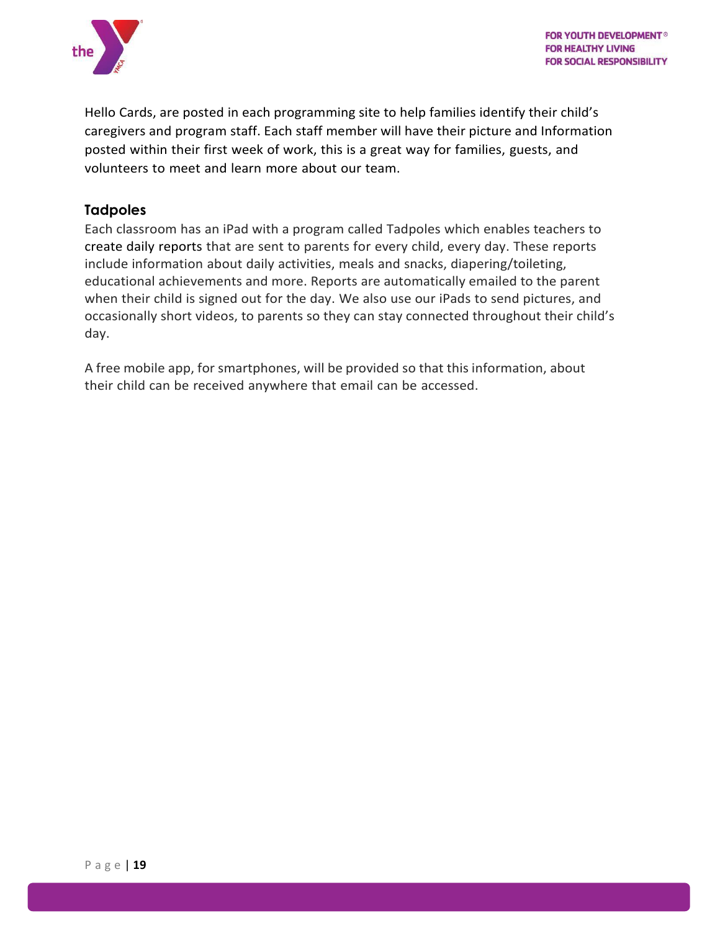

Hello Cards, are posted in each programming site to help families identify their child's caregivers and program staff. Each staff member will have their picture and Information posted within their first week of work, this is a great way for families, guests, and volunteers to meet and learn more about our team.

#### <span id="page-19-0"></span>**Tadpoles**

Each classroom has an iPad with a program called Tadpoles which enables teachers to create daily reports that are sent to parents for every child, every day. These reports include information about daily [activities,](http://www.kidsfirst1.com/child-care-programs/) meals and snacks, diapering/toileting, educational achievements and more. Reports are automatically emailed to the parent when their child is signed out for the day. We also use our iPads to send pictures, and occasionally short videos, to parents so they can stay connected throughout their child's day.

A free mobile app, for smartphones, will be provided so that this information, about their child can be received anywhere that email can be accessed.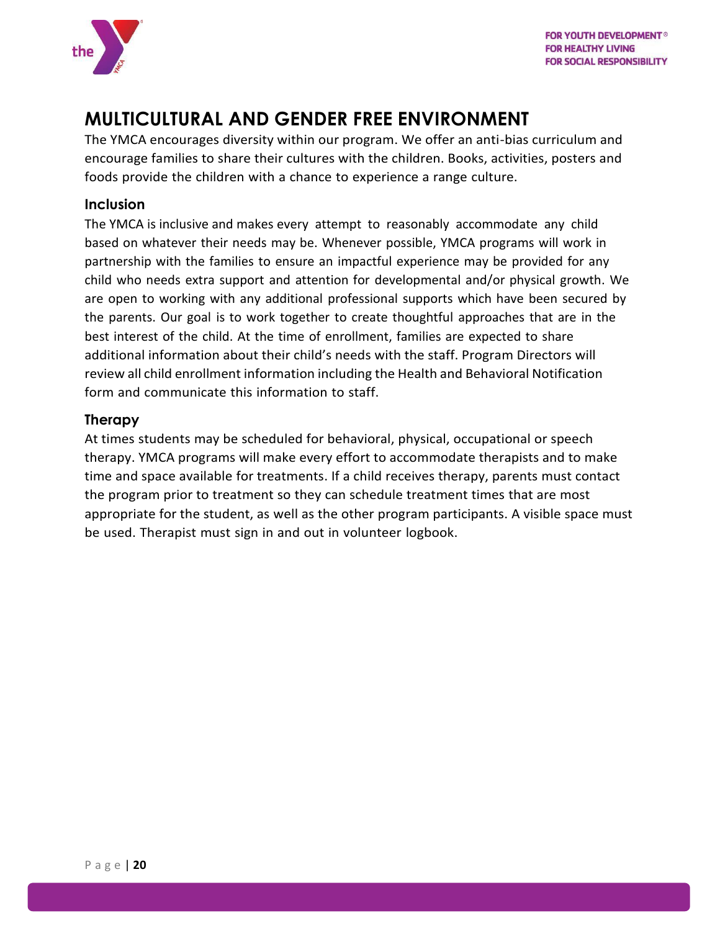

## <span id="page-20-0"></span>**MULTICULTURAL AND GENDER FREE ENVIRONMENT**

The YMCA encourages diversity within our program. We offer an anti-bias curriculum and encourage families to share their cultures with the children. Books, activities, posters and foods provide the children with a chance to experience a range culture.

#### <span id="page-20-1"></span>**Inclusion**

The YMCA is inclusive and makes every attempt to reasonably accommodate any child based on whatever their needs may be. Whenever possible, YMCA programs will work in partnership with the families to ensure an impactful experience may be provided for any child who needs extra support and attention for developmental and/or physical growth. We are open to working with any additional professional supports which have been secured by the parents. Our goal is to work together to create thoughtful approaches that are in the best interest of the child. At the time of enrollment, families are expected to share additional information about their child's needs with the staff. Program Directors will review all child enrollment information including the Health and Behavioral Notification form and communicate this information to staff.

#### <span id="page-20-2"></span>**Therapy**

At times students may be scheduled for behavioral, physical, occupational or speech therapy. YMCA programs will make every effort to accommodate therapists and to make time and space available for treatments. If a child receives therapy, parents must contact the program prior to treatment so they can schedule treatment times that are most appropriate for the student, as well as the other program participants. A visible space must be used. Therapist must sign in and out in volunteer logbook.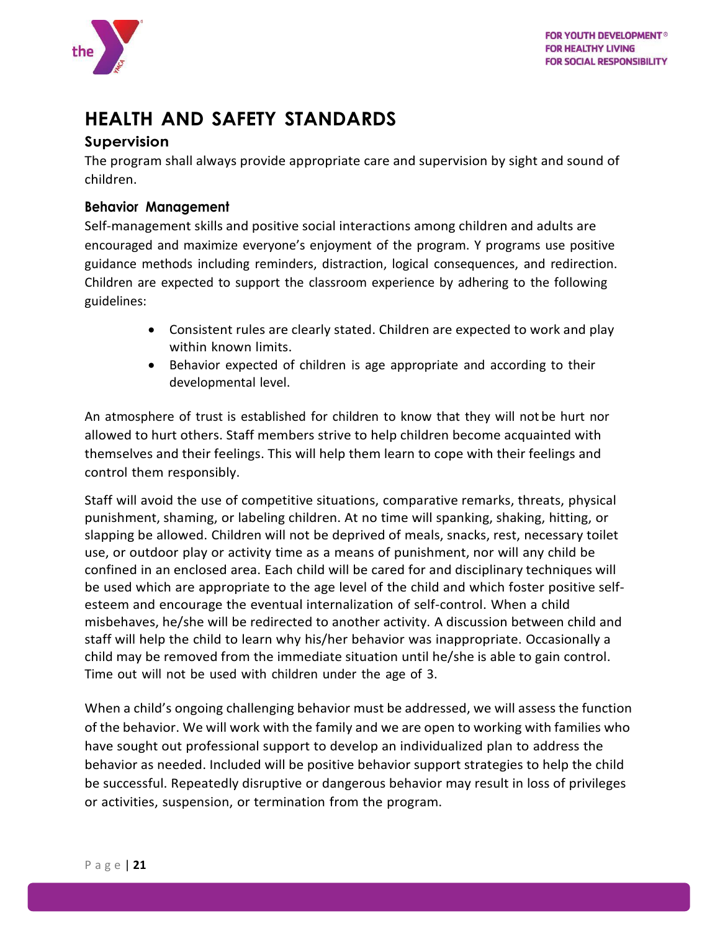

## <span id="page-21-0"></span>**HEALTH AND SAFETY STANDARDS**

#### <span id="page-21-1"></span>**Supervision**

The program shall always provide appropriate care and supervision by sight and sound of children.

#### <span id="page-21-2"></span>**Behavior Management**

Self-management skills and positive social interactions among children and adults are encouraged and maximize everyone's enjoyment of the program. Y programs use positive guidance methods including reminders, distraction, logical consequences, and redirection. Children are expected to support the classroom experience by adhering to the following guidelines:

- Consistent rules are clearly stated. Children are expected to work and play within known limits.
- Behavior expected of children is age appropriate and according to their developmental level.

An atmosphere of trust is established for children to know that they will not be hurt nor allowed to hurt others. Staff members strive to help children become acquainted with themselves and their feelings. This will help them learn to cope with their feelings and control them responsibly.

Staff will avoid the use of competitive situations, comparative remarks, threats, physical punishment, shaming, or labeling children. At no time will spanking, shaking, hitting, or slapping be allowed. Children will not be deprived of meals, snacks, rest, necessary toilet use, or outdoor play or activity time as a means of punishment, nor will any child be confined in an enclosed area. Each child will be cared for and disciplinary techniques will be used which are appropriate to the age level of the child and which foster positive selfesteem and encourage the eventual internalization of self-control. When a child misbehaves, he/she will be redirected to another activity. A discussion between child and staff will help the child to learn why his/her behavior was inappropriate. Occasionally a child may be removed from the immediate situation until he/she is able to gain control. Time out will not be used with children under the age of 3.

When a child's ongoing challenging behavior must be addressed, we will assess the function of the behavior. We will work with the family and we are open to working with families who have sought out professional support to develop an individualized plan to address the behavior as needed. Included will be positive behavior support strategies to help the child be successful. Repeatedly disruptive or dangerous behavior may result in loss of privileges or activities, suspension, or termination from the program.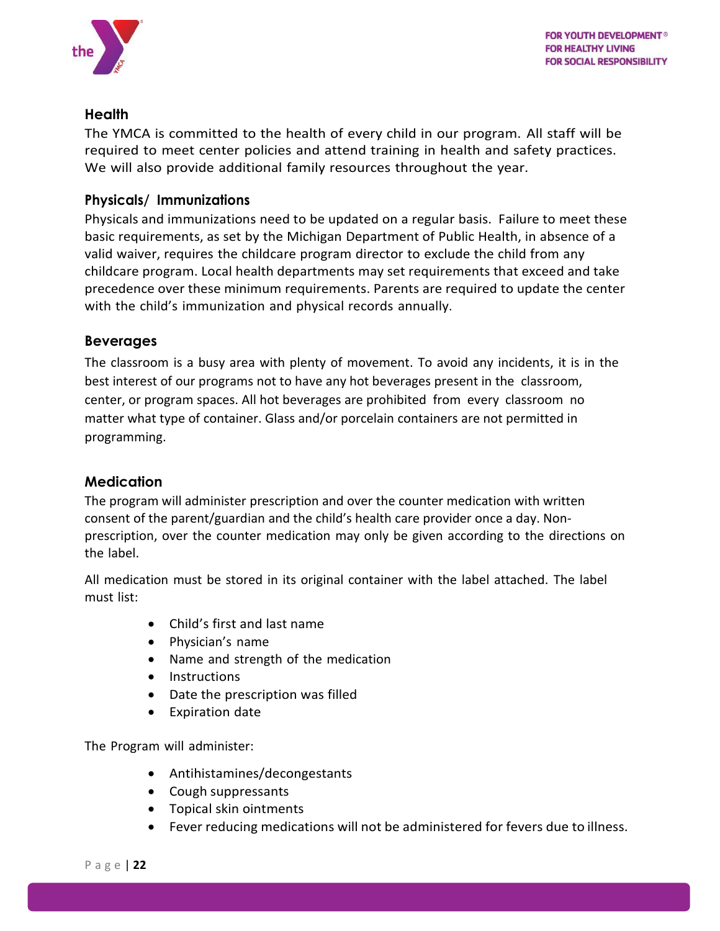

#### <span id="page-22-0"></span>**Health**

The YMCA is committed to the health of every child in our program. All staff will be required to meet center policies and attend training in health and safety practices. We will also provide additional family resources throughout the year.

#### <span id="page-22-1"></span>**Physicals/ Immunizations**

Physicals and immunizations need to be updated on a regular basis. Failure to meet these basic requirements, as set by the Michigan Department of Public Health, in absence of a valid waiver, requires the childcare program director to exclude the child from any childcare program. Local health departments may set requirements that exceed and take precedence over these minimum requirements. Parents are required to update the center with the child's immunization and physical records annually.

#### <span id="page-22-2"></span>**Beverages**

The classroom is a busy area with plenty of movement. To avoid any incidents, it is in the best interest of our programs not to have any hot beverages present in the classroom, center, or program spaces. All hot beverages are prohibited from every classroom no matter what type of container. Glass and/or porcelain containers are not permitted in programming.

#### <span id="page-22-3"></span>**Medication**

The program will administer prescription and over the counter medication with written consent of the parent/guardian and the child's health care provider once a day. Nonprescription, over the counter medication may only be given according to the directions on the label.

All medication must be stored in its original container with the label attached. The label must list:

- Child's first and last name
- Physician's name
- Name and strength of the medication
- Instructions
- Date the prescription was filled
- Expiration date

The Program will administer:

- Antihistamines/decongestants
- Cough suppressants
- Topical skin ointments
- Fever reducing medications will not be administered for fevers due to illness.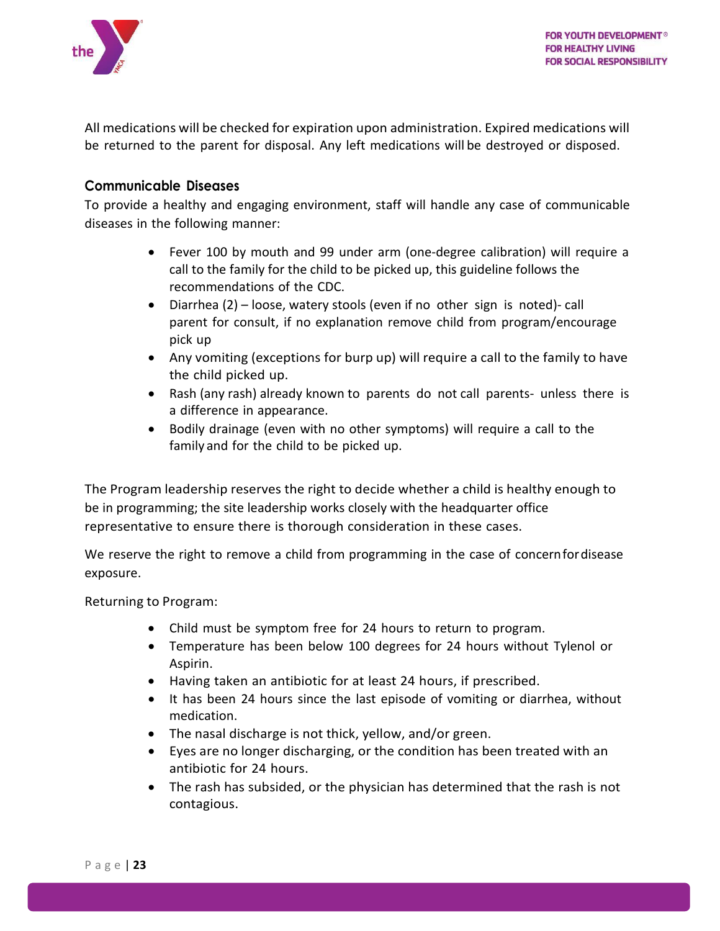

All medications will be checked for expiration upon administration. Expired medications will be returned to the parent for disposal. Any left medications will be destroyed or disposed.

#### <span id="page-23-0"></span>**Communicable Diseases**

To provide a healthy and engaging environment, staff will handle any case of communicable diseases in the following manner:

- Fever 100 by mouth and 99 under arm (one-degree calibration) will require a call to the family for the child to be picked up, this guideline follows the recommendations of the CDC.
- Diarrhea (2) loose, watery stools (even if no other sign is noted)- call parent for consult, if no explanation remove child from program/encourage pick up
- Any vomiting (exceptions for burp up) will require a call to the family to have the child picked up.
- Rash (any rash) already known to parents do not call parents- unless there is a difference in appearance.
- Bodily drainage (even with no other symptoms) will require a call to the family and for the child to be picked up.

The Program leadership reserves the right to decide whether a child is healthy enough to be in programming; the site leadership works closely with the headquarter office representative to ensure there is thorough consideration in these cases.

We reserve the right to remove a child from programming in the case of concernfordisease exposure.

Returning to Program:

- Child must be symptom free for 24 hours to return to program.
- Temperature has been below 100 degrees for 24 hours without Tylenol or Aspirin.
- Having taken an antibiotic for at least 24 hours, if prescribed.
- It has been 24 hours since the last episode of vomiting or diarrhea, without medication.
- The nasal discharge is not thick, yellow, and/or green.
- Eyes are no longer discharging, or the condition has been treated with an antibiotic for 24 hours.
- The rash has subsided, or the physician has determined that the rash is not contagious.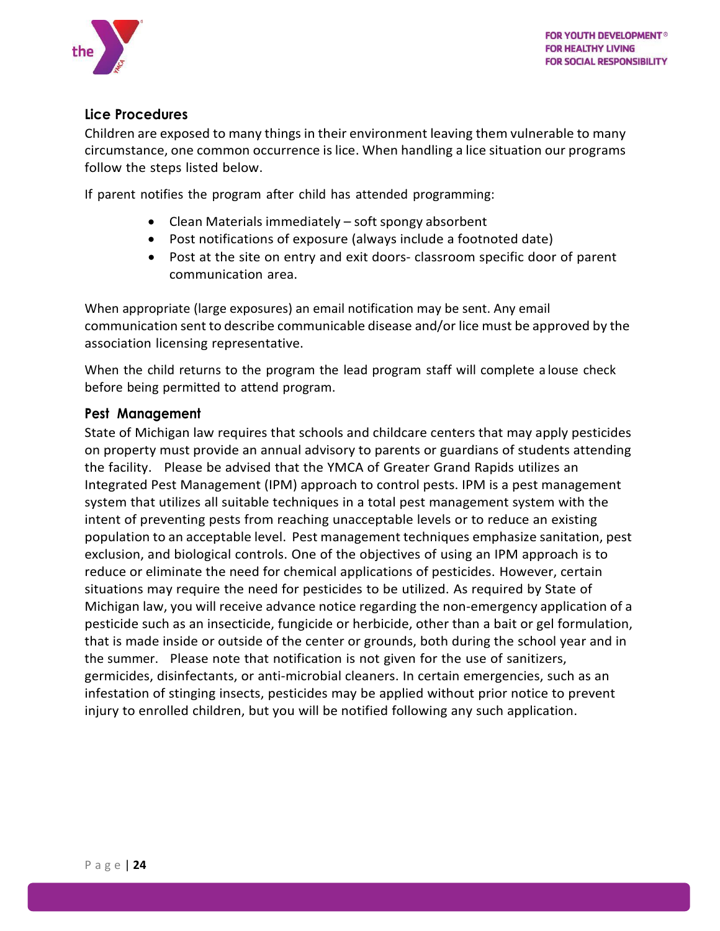

#### <span id="page-24-0"></span>**Lice Procedures**

Children are exposed to many things in their environment leaving them vulnerable to many circumstance, one common occurrence is lice. When handling a lice situation our programs follow the steps listed below.

If parent notifies the program after child has attended programming:

- Clean Materials immediately soft spongy absorbent
- Post notifications of exposure (always include a footnoted date)
- Post at the site on entry and exit doors- classroom specific door of parent communication area.

When appropriate (large exposures) an email notification may be sent. Any email communication sent to describe communicable disease and/or lice must be approved by the association licensing representative.

When the child returns to the program the lead program staff will complete a louse check before being permitted to attend program.

#### <span id="page-24-1"></span>**Pest Management**

State of Michigan law requires that schools and childcare centers that may apply pesticides on property must provide an annual advisory to parents or guardians of students attending the facility. Please be advised that the YMCA of Greater Grand Rapids utilizes an Integrated Pest Management (IPM) approach to control pests. IPM is a pest management system that utilizes all suitable techniques in a total pest management system with the intent of preventing pests from reaching unacceptable levels or to reduce an existing population to an acceptable level. Pest management techniques emphasize sanitation, pest exclusion, and biological controls. One of the objectives of using an IPM approach is to reduce or eliminate the need for chemical applications of pesticides. However, certain situations may require the need for pesticides to be utilized. As required by State of Michigan law, you will receive advance notice regarding the non-emergency application of a pesticide such as an insecticide, fungicide or herbicide, other than a bait or gel formulation, that is made inside or outside of the center or grounds, both during the school year and in the summer. Please note that notification is not given for the use of sanitizers, germicides, disinfectants, or anti-microbial cleaners. In certain emergencies, such as an infestation of stinging insects, pesticides may be applied without prior notice to prevent injury to enrolled children, but you will be notified following any such application.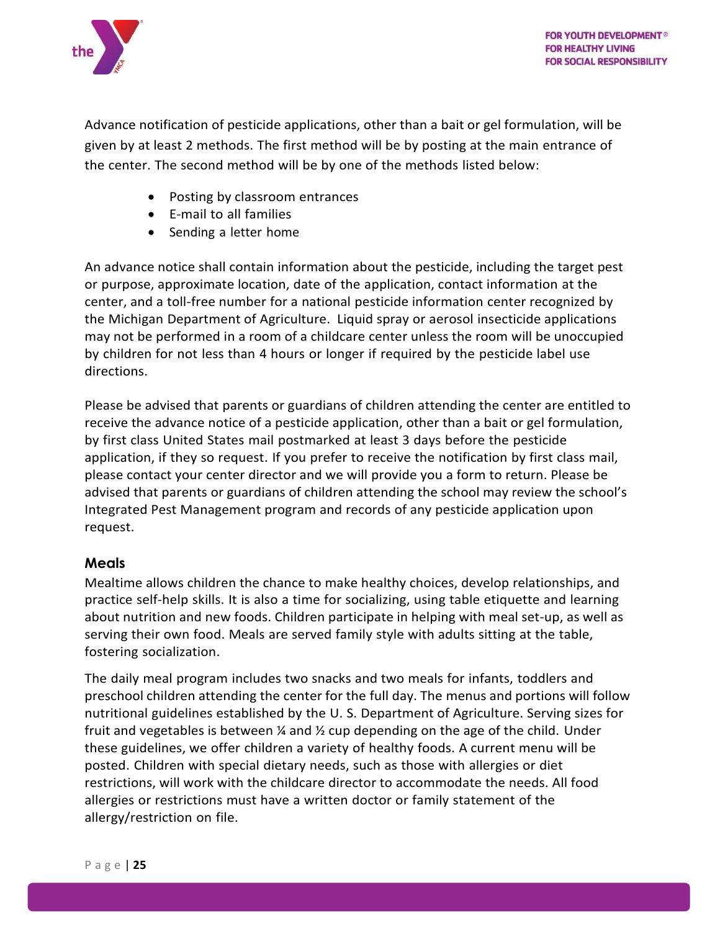

Advance notification of pesticide applications, other than a bait or gel formulation, will be given by at least 2 methods. The first method will be by posting at the main entrance of the center. The second method will be by one of the methods listed below:

- Posting by classroom entrances
- E-mail to all families
- Sending a letter home

An advance notice shall contain information about the pesticide, including the target pest or purpose, approximate location, date of the application, contact information at the center, and a toll-free number for a national pesticide information center recognized by the Michigan Department of Agriculture. Liquid spray or aerosol insecticide applications may not be performed in a room of a childcare center unless the room will be unoccupied by children for not less than 4 hours or longer if required by the pesticide label use directions.

Please be advised that parents or guardians of children attending the center are entitled to receive the advance notice of a pesticide application, other than a bait or gel formulation, by first class United States mail postmarked at least 3 days before the pesticide application, if they so request. If you prefer to receive the notification by first class mail, please contact your center director and we will provide you a form to return. Please be advised that parents or guardians of children attending the school may review the school's Integrated Pest Management program and records of any pesticide application upon request.

#### <span id="page-25-0"></span>**Meals**

Mealtime allows children the chance to make healthy choices, develop relationships, and practice self-help skills. It is also a time for socializing, using table etiquette and learning about nutrition and new foods. Children participate in helping with meal set-up, as well as serving their own food. Meals are served family style with adults sitting at the table, fostering socialization.

The daily meal program includes two snacks and two meals for infants, toddlers and preschool children attending the center for the full day. The menus and portions will follow nutritional guidelines established by the U. S. Department of Agriculture. Serving sizes for fruit and vegetables is between  $\frac{1}{2}$  and  $\frac{1}{2}$  cup depending on the age of the child. Under these guidelines, we offer children a variety of healthy foods. A current menu will be posted. Children with special dietary needs, such as those with allergies or diet restrictions, will work with the childcare director to accommodate the needs. All food allergies or restrictions must have a written doctor or family statement of the allergy/restriction on file.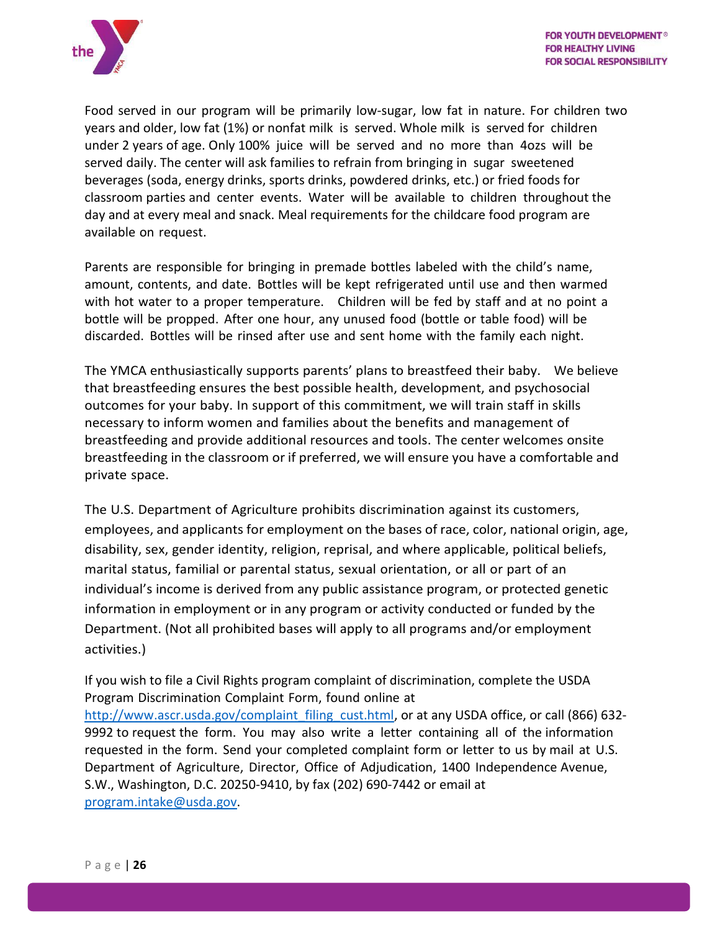

Food served in our program will be primarily low-sugar, low fat in nature. For children two years and older, low fat (1%) or nonfat milk is served. Whole milk is served for children under 2 years of age. Only 100% juice will be served and no more than 4ozs will be served daily. The center will ask families to refrain from bringing in sugar sweetened beverages (soda, energy drinks, sports drinks, powdered drinks, etc.) or fried foods for classroom parties and center events. Water will be available to children throughout the day and at every meal and snack. Meal requirements for the childcare food program are available on request.

Parents are responsible for bringing in premade bottles labeled with the child's name, amount, contents, and date. Bottles will be kept refrigerated until use and then warmed with hot water to a proper temperature. Children will be fed by staff and at no point a bottle will be propped. After one hour, any unused food (bottle or table food) will be discarded. Bottles will be rinsed after use and sent home with the family each night.

The YMCA enthusiastically supports parents' plans to breastfeed their baby. We believe that breastfeeding ensures the best possible health, development, and psychosocial outcomes for your baby. In support of this commitment, we will train staff in skills necessary to inform women and families about the benefits and management of breastfeeding and provide additional resources and tools. The center welcomes onsite breastfeeding in the classroom or if preferred, we will ensure you have a comfortable and private space.

The U.S. Department of Agriculture prohibits discrimination against its customers, employees, and applicants for employment on the bases of race, color, national origin, age, disability, sex, gender identity, religion, reprisal, and where applicable, political beliefs, marital status, familial or parental status, sexual orientation, or all or part of an individual's income is derived from any public assistance program, or protected genetic information in employment or in any program or activity conducted or funded by the Department. (Not all prohibited bases will apply to all programs and/or employment activities.)

If you wish to file a Civil Rights program complaint of discrimination, complete the USDA Program Discrimination Complaint Form, found online at [http://www.ascr.usda.gov/complaint\\_filing\\_cust.html,](http://www.ascr.usda.gov/complaint_filing_cust.html) or at any USDA office, or call (866) 632-9992 to request the form. You may also write a letter containing all of the information requested in the form. Send your completed complaint form or letter to us by mail at U.S. Department of Agriculture, Director, Office of Adjudication, 1400 Independence Avenue, S.W., Washington, D.C. 20250-9410, by fax (202) 690-7442 or email at [program.intake@usda.gov.](mailto:program.intake@usda.gov)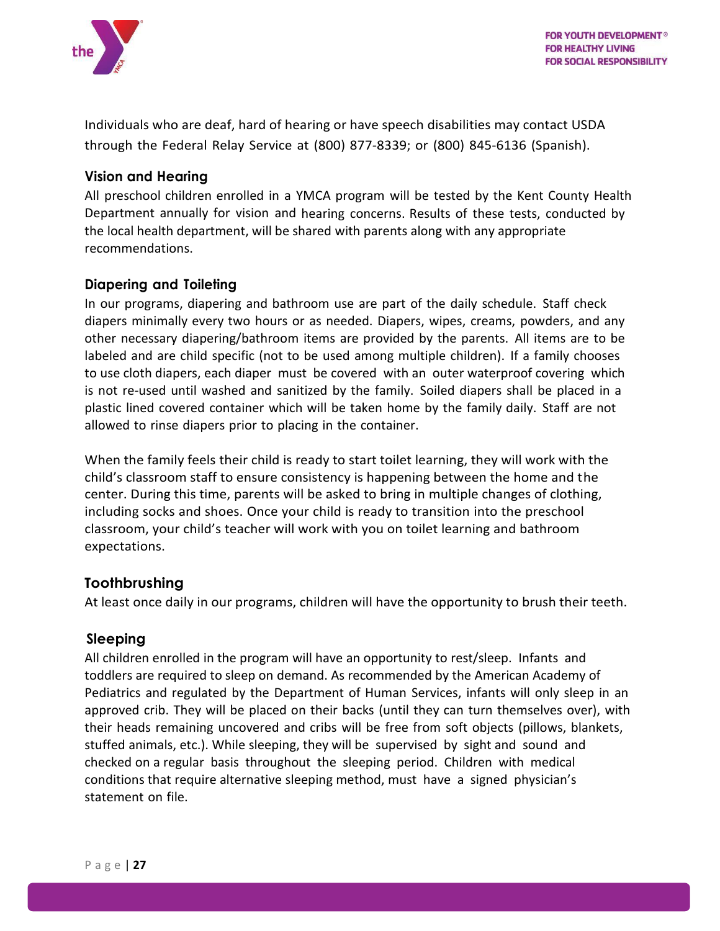

Individuals who are deaf, hard of hearing or have speech disabilities may contact USDA through the Federal Relay Service at (800) 877-8339; or (800) 845-6136 (Spanish).

#### <span id="page-27-0"></span>**Vision and Hearing**

All preschool children enrolled in a YMCA program will be tested by the Kent County Health Department annually for vision and hearing concerns. Results of these tests, conducted by the local health department, will be shared with parents along with any appropriate recommendations.

#### <span id="page-27-1"></span>**Diapering and Toileting**

In our programs, diapering and bathroom use are part of the daily schedule. Staff check diapers minimally every two hours or as needed. Diapers, wipes, creams, powders, and any other necessary diapering/bathroom items are provided by the parents. All items are to be labeled and are child specific (not to be used among multiple children). If a family chooses to use cloth diapers, each diaper must be covered with an outer waterproof covering which is not re-used until washed and sanitized by the family. Soiled diapers shall be placed in a plastic lined covered container which will be taken home by the family daily. Staff are not allowed to rinse diapers prior to placing in the container.

When the family feels their child is ready to start toilet learning, they will work with the child's classroom staff to ensure consistency is happening between the home and the center. During this time, parents will be asked to bring in multiple changes of clothing, including socks and shoes. Once your child is ready to transition into the preschool classroom, your child's teacher will work with you on toilet learning and bathroom expectations.

#### <span id="page-27-2"></span>**Toothbrushing**

At least once daily in our programs, children will have the opportunity to brush their teeth.

#### <span id="page-27-3"></span>**Sleeping**

All children enrolled in the program will have an opportunity to rest/sleep. Infants and toddlers are required to sleep on demand. As recommended by the American Academy of Pediatrics and regulated by the Department of Human Services, infants will only sleep in an approved crib. They will be placed on their backs (until they can turn themselves over), with their heads remaining uncovered and cribs will be free from soft objects (pillows, blankets, stuffed animals, etc.). While sleeping, they will be supervised by sight and sound and checked on a regular basis throughout the sleeping period. Children with medical conditions that require alternative sleeping method, must have a signed physician's statement on file.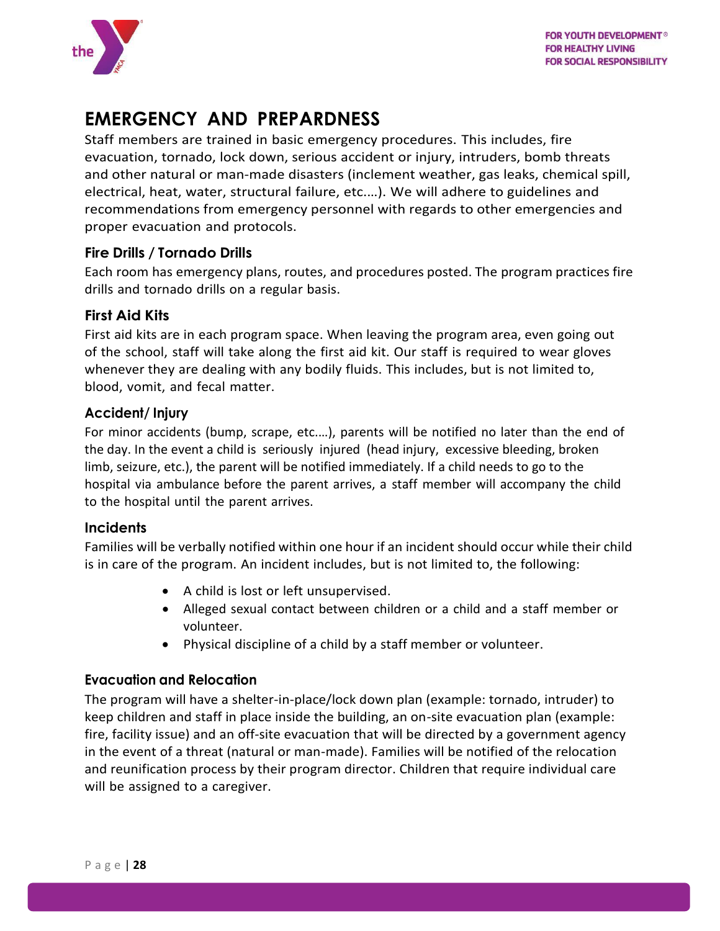

## <span id="page-28-0"></span>**EMERGENCY AND PREPARDNESS**

Staff members are trained in basic emergency procedures. This includes, fire evacuation, tornado, lock down, serious accident or injury, intruders, bomb threats and other natural or man-made disasters (inclement weather, gas leaks, chemical spill, electrical, heat, water, structural failure, etc.…). We will adhere to guidelines and recommendations from emergency personnel with regards to other emergencies and proper evacuation and protocols.

#### <span id="page-28-1"></span>**Fire Drills / Tornado Drills**

Each room has emergency plans, routes, and procedures posted. The program practices fire drills and tornado drills on a regular basis.

#### <span id="page-28-2"></span>**First Aid Kits**

First aid kits are in each program space. When leaving the program area, even going out of the school, staff will take along the first aid kit. Our staff is required to wear gloves whenever they are dealing with any bodily fluids. This includes, but is not limited to, blood, vomit, and fecal matter.

#### <span id="page-28-3"></span>**Accident/ Injury**

For minor accidents (bump, scrape, etc.…), parents will be notified no later than the end of the day. In the event a child is seriously injured (head injury, excessive bleeding, broken limb, seizure, etc.), the parent will be notified immediately. If a child needs to go to the hospital via ambulance before the parent arrives, a staff member will accompany the child to the hospital until the parent arrives.

#### <span id="page-28-4"></span>**Incidents**

Families will be verbally notified within one hour if an incident should occur while their child is in care of the program. An incident includes, but is not limited to, the following:

- A child is lost or left unsupervised.
- Alleged sexual contact between children or a child and a staff member or volunteer.
- Physical discipline of a child by a staff member or volunteer.

#### <span id="page-28-5"></span>**Evacuation and Relocation**

The program will have a shelter-in-place/lock down plan (example: tornado, intruder) to keep children and staff in place inside the building, an on-site evacuation plan (example: fire, facility issue) and an off-site evacuation that will be directed by a government agency in the event of a threat (natural or man-made). Families will be notified of the relocation and reunification process by their program director. Children that require individual care will be assigned to a caregiver.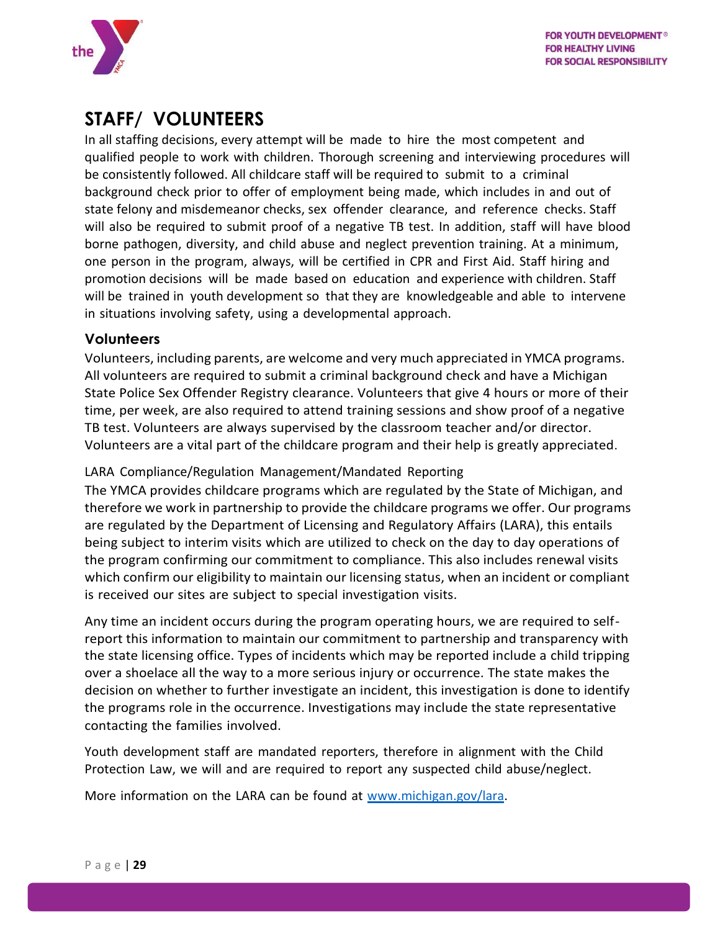

## <span id="page-29-0"></span>**STAFF/ VOLUNTEERS**

In all staffing decisions, every attempt will be made to hire the most competent and qualified people to work with children. Thorough screening and interviewing procedures will be consistently followed. All childcare staff will be required to submit to a criminal background check prior to offer of employment being made, which includes in and out of state felony and misdemeanor checks, sex offender clearance, and reference checks. Staff will also be required to submit proof of a negative TB test. In addition, staff will have blood borne pathogen, diversity, and child abuse and neglect prevention training. At a minimum, one person in the program, always, will be certified in CPR and First Aid. Staff hiring and promotion decisions will be made based on education and experience with children. Staff will be trained in youth development so that they are knowledgeable and able to intervene in situations involving safety, using a developmental approach.

#### <span id="page-29-1"></span>**Volunteers**

Volunteers, including parents, are welcome and very much appreciated in YMCA programs. All volunteers are required to submit a criminal background check and have a Michigan State Police Sex Offender Registry clearance. Volunteers that give 4 hours or more of their time, per week, are also required to attend training sessions and show proof of a negative TB test. Volunteers are always supervised by the classroom teacher and/or director. Volunteers are a vital part of the childcare program and their help is greatly appreciated.

#### <span id="page-29-2"></span>LARA Compliance/Regulation Management/Mandated Reporting

The YMCA provides childcare programs which are regulated by the State of Michigan, and therefore we work in partnership to provide the childcare programs we offer. Our programs are regulated by the Department of Licensing and Regulatory Affairs (LARA), this entails being subject to interim visits which are utilized to check on the day to day operations of the program confirming our commitment to compliance. This also includes renewal visits which confirm our eligibility to maintain our licensing status, when an incident or compliant is received our sites are subject to special investigation visits.

Any time an incident occurs during the program operating hours, we are required to selfreport this information to maintain our commitment to partnership and transparency with the state licensing office. Types of incidents which may be reported include a child tripping over a shoelace all the way to a more serious injury or occurrence. The state makes the decision on whether to further investigate an incident, this investigation is done to identify the programs role in the occurrence. Investigations may include the state representative contacting the families involved.

Youth development staff are mandated reporters, therefore in alignment with the Child Protection Law, we will and are required to report any suspected child abuse/neglect.

More information on the LARA can be found at [www.michigan.gov/lara.](http://www.michigan.gov/lara)